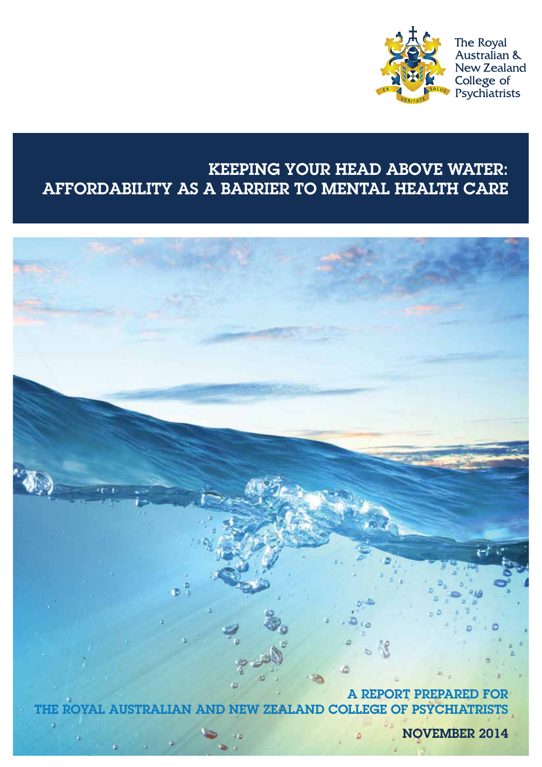

### KEEPING YOUR HEAD ABOVE WATER: AFFORDABILITY AS A BARRIER TO MENTAL HEALTH CARE



Keeping your head above water: Affordability as a barrier to mental health care i NOVEMBER 2014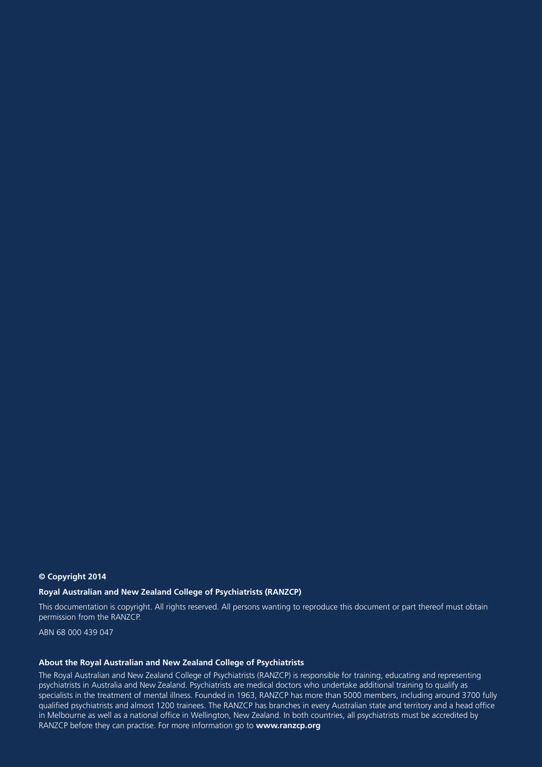#### **© Copyright 2014**

#### **Royal Australian and New Zealand College of Psychiatrists (RANZCP)**

This documentation is copyright. All rights reserved. All persons wanting to reproduce this document or part thereof must obtain permission from the RANZCP.

ABN 68 000 439 047

#### **About the Royal Australian and New Zealand College of Psychiatrists**

The Royal Australian and New Zealand College of Psychiatrists (RANZCP) is responsible for training, educating and representing psychiatrists in Australia and New Zealand. Psychiatrists are medical doctors who undertake additional training to qualify as specialists in the treatment of mental illness. Founded in 1963, RANZCP has more than 5000 members, including around 3700 fully qualified psychiatrists and almost 1200 trainees. The RANZCP has branches in every Australian state and territory and a head office in Melbourne as well as a national office in Wellington, New Zealand. In both countries, all psychiatrists must be accredited by RANZCP before they can practise. For more information go to **www.ranzcp.org**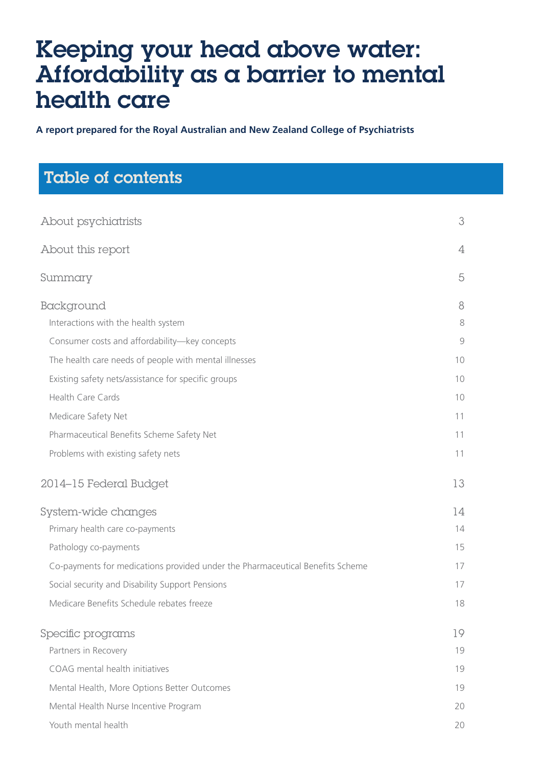# Keeping your head above water: Affordability as a barrier to mental health care

**A report prepared for the Royal Australian and New Zealand College of Psychiatrists**

| <b>Table of contents</b>                                                      |    |
|-------------------------------------------------------------------------------|----|
|                                                                               |    |
| About psychiatrists                                                           | 3  |
| About this report                                                             | 4  |
| Summary                                                                       | 5  |
| Background                                                                    | 8  |
| Interactions with the health system                                           | 8  |
| Consumer costs and affordability-key concepts                                 | 9  |
| The health care needs of people with mental illnesses                         | 10 |
| Existing safety nets/assistance for specific groups                           | 10 |
| Health Care Cards                                                             | 10 |
| Medicare Safety Net                                                           | 11 |
| Pharmaceutical Benefits Scheme Safety Net                                     | 11 |
| Problems with existing safety nets                                            | 11 |
| 2014-15 Federal Budget                                                        | 13 |
| System-wide changes                                                           | 14 |
| Primary health care co-payments                                               | 14 |
| Pathology co-payments                                                         | 15 |
| Co-payments for medications provided under the Pharmaceutical Benefits Scheme | 17 |
| Social security and Disability Support Pensions                               | 17 |
| Medicare Benefits Schedule rebates freeze                                     | 18 |
| Specific programs                                                             | 19 |
| Partners in Recovery                                                          | 19 |
| COAG mental health initiatives                                                | 19 |
| Mental Health, More Options Better Outcomes                                   | 19 |
| Mental Health Nurse Incentive Program                                         | 20 |
| Youth mental health                                                           | 20 |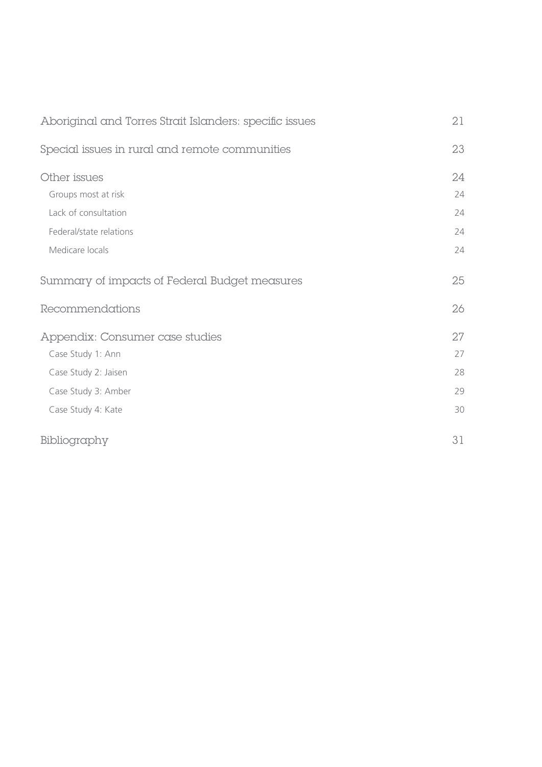| Aboriginal and Torres Strait Islanders: specific issues | 21 |
|---------------------------------------------------------|----|
| Special issues in rural and remote communities          | 23 |
| Other issues                                            | 24 |
| Groups most at risk                                     | 24 |
| Lack of consultation                                    | 24 |
| Federal/state relations                                 | 24 |
| Medicare locals                                         | 24 |
| Summary of impacts of Federal Budget measures           | 25 |
| Recommendations                                         | 26 |
| Appendix: Consumer case studies                         | 27 |
| Case Study 1: Ann                                       | 27 |
| Case Study 2: Jaisen                                    | 28 |
| Case Study 3: Amber                                     | 29 |
| Case Study 4: Kate                                      | 30 |
| Bibliography                                            | 31 |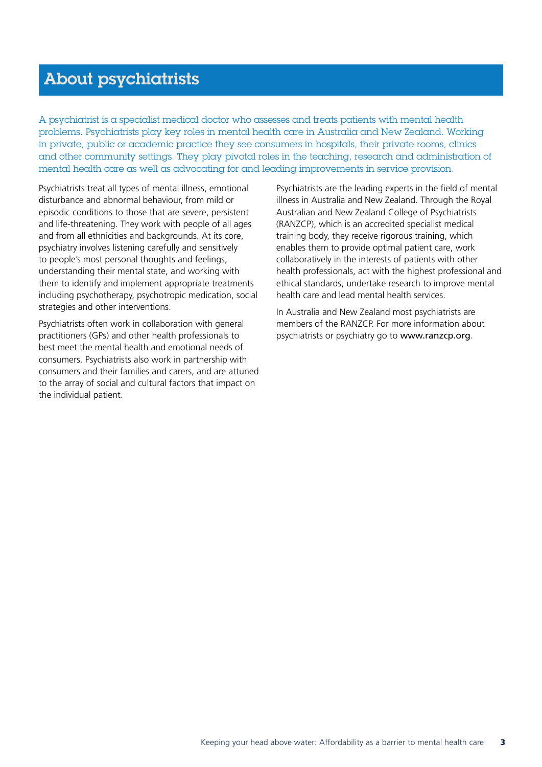### <span id="page-4-0"></span>About psychiatrists

A psychiatrist is a specialist medical doctor who assesses and treats patients with mental health problems. Psychiatrists play key roles in mental health care in Australia and New Zealand. Working in private, public or academic practice they see consumers in hospitals, their private rooms, clinics and other community settings. They play pivotal roles in the teaching, research and administration of mental health care as well as advocating for and leading improvements in service provision.

Psychiatrists treat all types of mental illness, emotional disturbance and abnormal behaviour, from mild or episodic conditions to those that are severe, persistent and life-threatening. They work with people of all ages and from all ethnicities and backgrounds. At its core, psychiatry involves listening carefully and sensitively to people's most personal thoughts and feelings, understanding their mental state, and working with them to identify and implement appropriate treatments including psychotherapy, psychotropic medication, social strategies and other interventions.

Psychiatrists often work in collaboration with general practitioners (GPs) and other health professionals to best meet the mental health and emotional needs of consumers. Psychiatrists also work in partnership with consumers and their families and carers, and are attuned to the array of social and cultural factors that impact on the individual patient.

Psychiatrists are the leading experts in the field of mental illness in Australia and New Zealand. Through the Royal Australian and New Zealand College of Psychiatrists (RANZCP), which is an accredited specialist medical training body, they receive rigorous training, which enables them to provide optimal patient care, work collaboratively in the interests of patients with other health professionals, act with the highest professional and ethical standards, undertake research to improve mental health care and lead mental health services.

In Australia and New Zealand most psychiatrists are members of the RANZCP. For more information about psychiatrists or psychiatry go to www.ranzcp.org.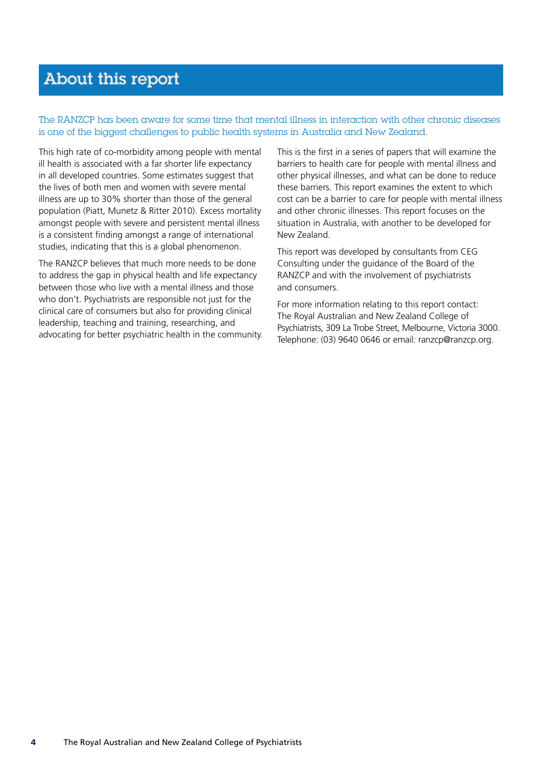### <span id="page-5-0"></span>About this report

The RANZCP has been aware for some time that mental illness in interaction with other chronic diseases is one of the biggest challenges to public health systems in Australia and New Zealand.

This high rate of co-morbidity among people with mental ill health is associated with a far shorter life expectancy in all developed countries. Some estimates suggest that the lives of both men and women with severe mental illness are up to 30% shorter than those of the general population (Piatt, Munetz & Ritter 2010). Excess mortality amongst people with severe and persistent mental illness is a consistent finding amongst a range of international studies, indicating that this is a global phenomenon.

The RANZCP believes that much more needs to be done to address the gap in physical health and life expectancy between those who live with a mental illness and those who don't. Psychiatrists are responsible not just for the clinical care of consumers but also for providing clinical leadership, teaching and training, researching, and advocating for better psychiatric health in the community. This is the first in a series of papers that will examine the barriers to health care for people with mental illness and other physical illnesses, and what can be done to reduce these barriers. This report examines the extent to which cost can be a barrier to care for people with mental illness and other chronic illnesses. This report focuses on the situation in Australia, with another to be developed for New Zealand.

This report was developed by consultants from CEG Consulting under the guidance of the Board of the RANZCP and with the involvement of psychiatrists and consumers.

For more information relating to this report contact: The Royal Australian and New Zealand College of Psychiatrists, 309 La Trobe Street, Melbourne, Victoria 3000. Telephone: (03) 9640 0646 or email: ranzcp@ranzcp.org.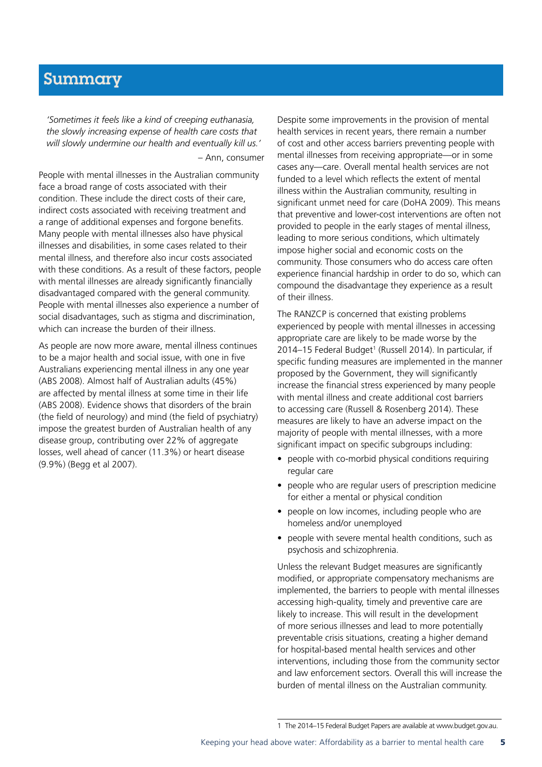### <span id="page-6-0"></span>Summary

*'Sometimes it feels like a kind of creeping euthanasia, the slowly increasing expense of health care costs that will slowly undermine our health and eventually kill us.'* 

– Ann, consumer

People with mental illnesses in the Australian community face a broad range of costs associated with their condition. These include the direct costs of their care, indirect costs associated with receiving treatment and a range of additional expenses and forgone benefits. Many people with mental illnesses also have physical illnesses and disabilities, in some cases related to their mental illness, and therefore also incur costs associated with these conditions. As a result of these factors, people with mental illnesses are already significantly financially disadvantaged compared with the general community. People with mental illnesses also experience a number of social disadvantages, such as stigma and discrimination, which can increase the burden of their illness.

As people are now more aware, mental illness continues to be a major health and social issue, with one in five Australians experiencing mental illness in any one year (ABS 2008). Almost half of Australian adults (45%) are affected by mental illness at some time in their life (ABS 2008). Evidence shows that disorders of the brain (the field of neurology) and mind (the field of psychiatry) impose the greatest burden of Australian health of any disease group, contributing over 22% of aggregate losses, well ahead of cancer (11.3%) or heart disease (9.9%) (Begg et al 2007).

Despite some improvements in the provision of mental health services in recent years, there remain a number of cost and other access barriers preventing people with mental illnesses from receiving appropriate—or in some cases any—care. Overall mental health services are not funded to a level which reflects the extent of mental illness within the Australian community, resulting in significant unmet need for care (DoHA 2009). This means that preventive and lower-cost interventions are often not provided to people in the early stages of mental illness, leading to more serious conditions, which ultimately impose higher social and economic costs on the community. Those consumers who do access care often experience financial hardship in order to do so, which can compound the disadvantage they experience as a result of their illness.

The RANZCP is concerned that existing problems experienced by people with mental illnesses in accessing appropriate care are likely to be made worse by the 2014–15 Federal Budget<sup>1</sup> (Russell 2014). In particular, if specific funding measures are implemented in the manner proposed by the Government, they will significantly increase the financial stress experienced by many people with mental illness and create additional cost barriers to accessing care (Russell & Rosenberg 2014). These measures are likely to have an adverse impact on the majority of people with mental illnesses, with a more significant impact on specific subgroups including:

- people with co-morbid physical conditions requiring regular care
- people who are regular users of prescription medicine for either a mental or physical condition
- people on low incomes, including people who are homeless and/or unemployed
- people with severe mental health conditions, such as psychosis and schizophrenia.

Unless the relevant Budget measures are significantly modified, or appropriate compensatory mechanisms are implemented, the barriers to people with mental illnesses accessing high-quality, timely and preventive care are likely to increase. This will result in the development of more serious illnesses and lead to more potentially preventable crisis situations, creating a higher demand for hospital-based mental health services and other interventions, including those from the community sector and law enforcement sectors. Overall this will increase the burden of mental illness on the Australian community.

<sup>1</sup> The 2014–15 Federal Budget Papers are available at www.budget.gov.au.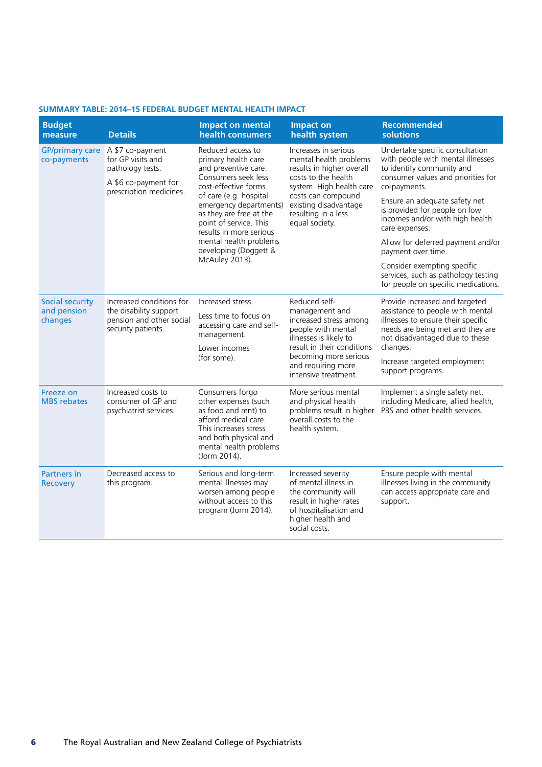### **SUMMARY TABLE: 2014–15 FEDERAL BUDGET MENTAL HEALTH IMPACT**

| <b>Budget</b><br>measure                  | <b>Details</b>                                                                                               | <b>Impact on mental</b><br>health consumers                                                                                                                                                                                                                                                                              | <b>Impact on</b><br>health system                                                                                                                                                                                      | <b>Recommended</b><br><b>solutions</b>                                                                                                                                                                                                                                                                                                                                                                                                                 |
|-------------------------------------------|--------------------------------------------------------------------------------------------------------------|--------------------------------------------------------------------------------------------------------------------------------------------------------------------------------------------------------------------------------------------------------------------------------------------------------------------------|------------------------------------------------------------------------------------------------------------------------------------------------------------------------------------------------------------------------|--------------------------------------------------------------------------------------------------------------------------------------------------------------------------------------------------------------------------------------------------------------------------------------------------------------------------------------------------------------------------------------------------------------------------------------------------------|
| <b>GP/primary care</b><br>co-payments     | A \$7 co-payment<br>for GP visits and<br>pathology tests.<br>A \$6 co-payment for<br>prescription medicines. | Reduced access to<br>primary health care<br>and preventive care.<br>Consumers seek less<br>cost-effective forms<br>of care (e.g. hospital<br>emergency departments)<br>as they are free at the<br>point of service. This<br>results in more serious<br>mental health problems<br>developing (Doggett &<br>McAuley 2013). | Increases in serious<br>mental health problems<br>results in higher overall<br>costs to the health<br>system. High health care<br>costs can compound<br>existing disadvantage<br>resulting in a less<br>equal society. | Undertake specific consultation<br>with people with mental illnesses<br>to identify community and<br>consumer values and priorities for<br>co-payments.<br>Ensure an adequate safety net<br>is provided for people on low<br>incomes and/or with high health<br>care expenses.<br>Allow for deferred payment and/or<br>payment over time.<br>Consider exempting specific<br>services, such as pathology testing<br>for people on specific medications. |
| Social security<br>and pension<br>changes | Increased conditions for<br>the disability support<br>pension and other social<br>security patients.         | Increased stress.<br>Less time to focus on<br>accessing care and self-<br>management.<br>Lower incomes<br>(for some).                                                                                                                                                                                                    | Reduced self-<br>management and<br>increased stress among<br>people with mental<br>illnesses is likely to<br>result in their conditions<br>becoming more serious<br>and requiring more<br>intensive treatment.         | Provide increased and targeted<br>assistance to people with mental<br>illnesses to ensure their specific<br>needs are being met and they are<br>not disadvantaged due to these<br>changes.<br>Increase targeted employment<br>support programs.                                                                                                                                                                                                        |
| Freeze on<br><b>MBS</b> rebates           | Increased costs to<br>consumer of GP and<br>psychiatrist services.                                           | Consumers forgo<br>other expenses (such<br>as food and rent) to<br>afford medical care.<br>This increases stress<br>and both physical and<br>mental health problems<br>(Jorm 2014).                                                                                                                                      | More serious mental<br>and physical health<br>problems result in higher<br>overall costs to the<br>health system.                                                                                                      | Implement a single safety net,<br>including Medicare, allied health,<br>PBS and other health services.                                                                                                                                                                                                                                                                                                                                                 |
| <b>Partners in</b><br><b>Recovery</b>     | Decreased access to<br>this program.                                                                         | Serious and long-term<br>mental illnesses may<br>worsen among people<br>without access to this<br>program (Jorm 2014).                                                                                                                                                                                                   | Increased severity<br>of mental illness in<br>the community will<br>result in higher rates<br>of hospitalisation and<br>higher health and<br>social costs.                                                             | Ensure people with mental<br>illnesses living in the community<br>can access appropriate care and<br>support.                                                                                                                                                                                                                                                                                                                                          |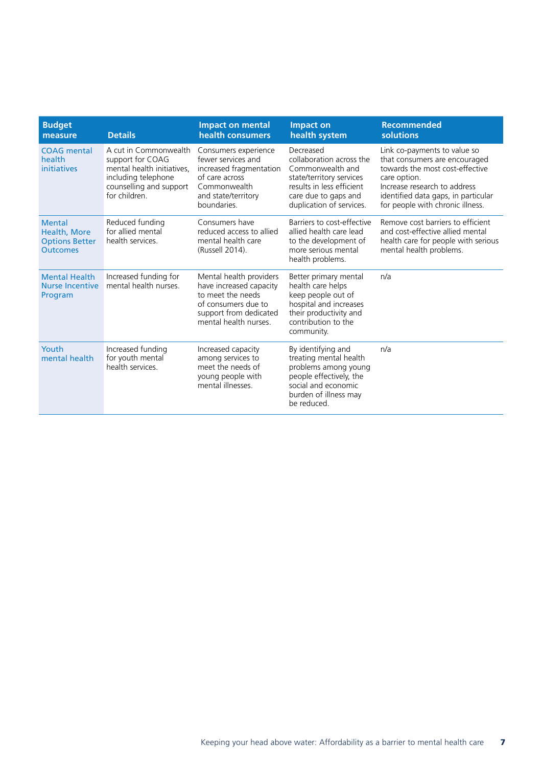| <b>Budget</b><br>measure                                                  | <b>Details</b>                                                                                                                             | <b>Impact on mental</b><br>health consumers                                                                                                       | <b>Impact on</b><br>health system                                                                                                                                      | <b>Recommended</b><br>solutions                                                                                                                                                                                             |
|---------------------------------------------------------------------------|--------------------------------------------------------------------------------------------------------------------------------------------|---------------------------------------------------------------------------------------------------------------------------------------------------|------------------------------------------------------------------------------------------------------------------------------------------------------------------------|-----------------------------------------------------------------------------------------------------------------------------------------------------------------------------------------------------------------------------|
| <b>COAG</b> mental<br>health<br>initiatives                               | A cut in Commonwealth<br>support for COAG<br>mental health initiatives.<br>including telephone<br>counselling and support<br>for children. | Consumers experience<br>fewer services and<br>increased fragmentation<br>of care across<br>Commonwealth<br>and state/territory<br>boundaries.     | Decreased<br>collaboration across the<br>Commonwealth and<br>state/territory services<br>results in less efficient<br>care due to gaps and<br>duplication of services. | Link co-payments to value so<br>that consumers are encouraged<br>towards the most cost-effective<br>care option.<br>Increase research to address<br>identified data gaps, in particular<br>for people with chronic illness. |
| <b>Mental</b><br>Health, More<br><b>Options Better</b><br><b>Outcomes</b> | Reduced funding<br>for allied mental<br>health services.                                                                                   | Consumers have<br>reduced access to allied<br>mental health care<br>(Russell 2014).                                                               | Barriers to cost-effective<br>allied health care lead<br>to the development of<br>more serious mental<br>health problems.                                              | Remove cost barriers to efficient<br>and cost-effective allied mental<br>health care for people with serious<br>mental health problems.                                                                                     |
| <b>Mental Health</b><br><b>Nurse Incentive</b><br>Program                 | Increased funding for<br>mental health nurses.                                                                                             | Mental health providers<br>have increased capacity<br>to meet the needs<br>of consumers due to<br>support from dedicated<br>mental health nurses. | Better primary mental<br>health care helps<br>keep people out of<br>hospital and increases<br>their productivity and<br>contribution to the<br>community.              | n/a                                                                                                                                                                                                                         |
| Youth<br>mental health                                                    | Increased funding<br>for youth mental<br>health services.                                                                                  | Increased capacity<br>among services to<br>meet the needs of<br>young people with<br>mental illnesses.                                            | By identifying and<br>treating mental health<br>problems among young<br>people effectively, the<br>social and economic<br>burden of illness may<br>be reduced.         | n/a                                                                                                                                                                                                                         |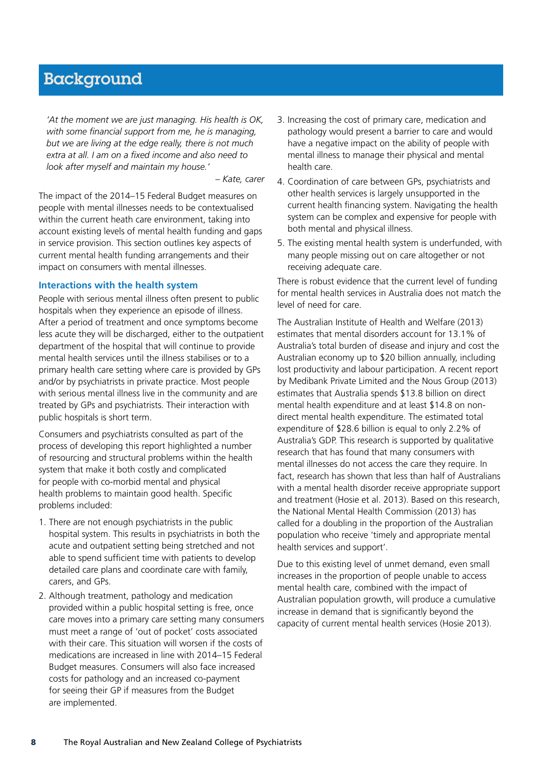### <span id="page-9-0"></span>Background

*'At the moment we are just managing. His health is OK, with some financial support from me, he is managing, but we are living at the edge really, there is not much extra at all. I am on a fixed income and also need to look after myself and maintain my house.'* 

*– Kate, carer*

The impact of the 2014–15 Federal Budget measures on people with mental illnesses needs to be contextualised within the current heath care environment, taking into account existing levels of mental health funding and gaps in service provision. This section outlines key aspects of current mental health funding arrangements and their impact on consumers with mental illnesses.

### **Interactions with the health system**

People with serious mental illness often present to public hospitals when they experience an episode of illness. After a period of treatment and once symptoms become less acute they will be discharged, either to the outpatient department of the hospital that will continue to provide mental health services until the illness stabilises or to a primary health care setting where care is provided by GPs and/or by psychiatrists in private practice. Most people with serious mental illness live in the community and are treated by GPs and psychiatrists. Their interaction with public hospitals is short term.

Consumers and psychiatrists consulted as part of the process of developing this report highlighted a number of resourcing and structural problems within the health system that make it both costly and complicated for people with co-morbid mental and physical health problems to maintain good health. Specific problems included:

- 1. There are not enough psychiatrists in the public hospital system. This results in psychiatrists in both the acute and outpatient setting being stretched and not able to spend sufficient time with patients to develop detailed care plans and coordinate care with family, carers, and GPs.
- 2. Although treatment, pathology and medication provided within a public hospital setting is free, once care moves into a primary care setting many consumers must meet a range of 'out of pocket' costs associated with their care. This situation will worsen if the costs of medications are increased in line with 2014–15 Federal Budget measures. Consumers will also face increased costs for pathology and an increased co-payment for seeing their GP if measures from the Budget are implemented.
- 3. Increasing the cost of primary care, medication and pathology would present a barrier to care and would have a negative impact on the ability of people with mental illness to manage their physical and mental health care.
- 4. Coordination of care between GPs, psychiatrists and other health services is largely unsupported in the current health financing system. Navigating the health system can be complex and expensive for people with both mental and physical illness.
- 5. The existing mental health system is underfunded, with many people missing out on care altogether or not receiving adequate care.

There is robust evidence that the current level of funding for mental health services in Australia does not match the level of need for care.

The Australian Institute of Health and Welfare (2013) estimates that mental disorders account for 13.1% of Australia's total burden of disease and injury and cost the Australian economy up to \$20 billion annually, including lost productivity and labour participation. A recent report by Medibank Private Limited and the Nous Group (2013) estimates that Australia spends \$13.8 billion on direct mental health expenditure and at least \$14.8 on nondirect mental health expenditure. The estimated total expenditure of \$28.6 billion is equal to only 2.2% of Australia's GDP. This research is supported by qualitative research that has found that many consumers with mental illnesses do not access the care they require. In fact, research has shown that less than half of Australians with a mental health disorder receive appropriate support and treatment (Hosie et al. 2013). Based on this research, the National Mental Health Commission (2013) has called for a doubling in the proportion of the Australian population who receive 'timely and appropriate mental health services and support'.

Due to this existing level of unmet demand, even small increases in the proportion of people unable to access mental health care, combined with the impact of Australian population growth, will produce a cumulative increase in demand that is significantly beyond the capacity of current mental health services (Hosie 2013).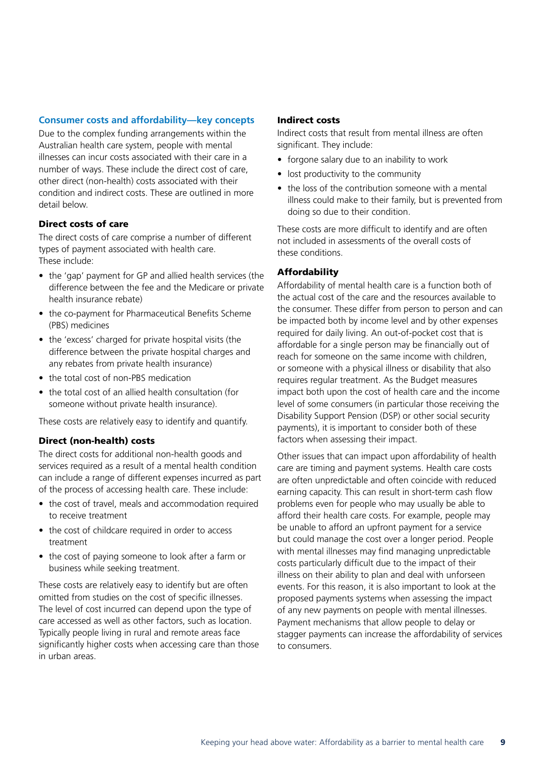### <span id="page-10-0"></span>**Consumer costs and affordability—key concepts**

Due to the complex funding arrangements within the Australian health care system, people with mental illnesses can incur costs associated with their care in a number of ways. These include the direct cost of care, other direct (non-health) costs associated with their condition and indirect costs. These are outlined in more detail below.

### Direct costs of care

The direct costs of care comprise a number of different types of payment associated with health care. These include:

- the 'gap' payment for GP and allied health services (the difference between the fee and the Medicare or private health insurance rebate)
- the co-payment for Pharmaceutical Benefits Scheme (PBS) medicines
- the 'excess' charged for private hospital visits (the difference between the private hospital charges and any rebates from private health insurance)
- the total cost of non-PBS medication
- the total cost of an allied health consultation (for someone without private health insurance).

These costs are relatively easy to identify and quantify.

### Direct (non-health) costs

The direct costs for additional non-health goods and services required as a result of a mental health condition can include a range of different expenses incurred as part of the process of accessing health care. These include:

- the cost of travel, meals and accommodation required to receive treatment
- the cost of childcare required in order to access treatment
- the cost of paying someone to look after a farm or business while seeking treatment.

These costs are relatively easy to identify but are often omitted from studies on the cost of specific illnesses. The level of cost incurred can depend upon the type of care accessed as well as other factors, such as location. Typically people living in rural and remote areas face significantly higher costs when accessing care than those in urban areas.

#### Indirect costs

Indirect costs that result from mental illness are often significant. They include:

- forgone salary due to an inability to work
- lost productivity to the community
- the loss of the contribution someone with a mental illness could make to their family, but is prevented from doing so due to their condition.

These costs are more difficult to identify and are often not included in assessments of the overall costs of these conditions.

#### Affordability

Affordability of mental health care is a function both of the actual cost of the care and the resources available to the consumer. These differ from person to person and can be impacted both by income level and by other expenses required for daily living. An out-of-pocket cost that is affordable for a single person may be financially out of reach for someone on the same income with children, or someone with a physical illness or disability that also requires regular treatment. As the Budget measures impact both upon the cost of health care and the income level of some consumers (in particular those receiving the Disability Support Pension (DSP) or other social security payments), it is important to consider both of these factors when assessing their impact.

Other issues that can impact upon affordability of health care are timing and payment systems. Health care costs are often unpredictable and often coincide with reduced earning capacity. This can result in short-term cash flow problems even for people who may usually be able to afford their health care costs. For example, people may be unable to afford an upfront payment for a service but could manage the cost over a longer period. People with mental illnesses may find managing unpredictable costs particularly difficult due to the impact of their illness on their ability to plan and deal with unforseen events. For this reason, it is also important to look at the proposed payments systems when assessing the impact of any new payments on people with mental illnesses. Payment mechanisms that allow people to delay or stagger payments can increase the affordability of services to consumers.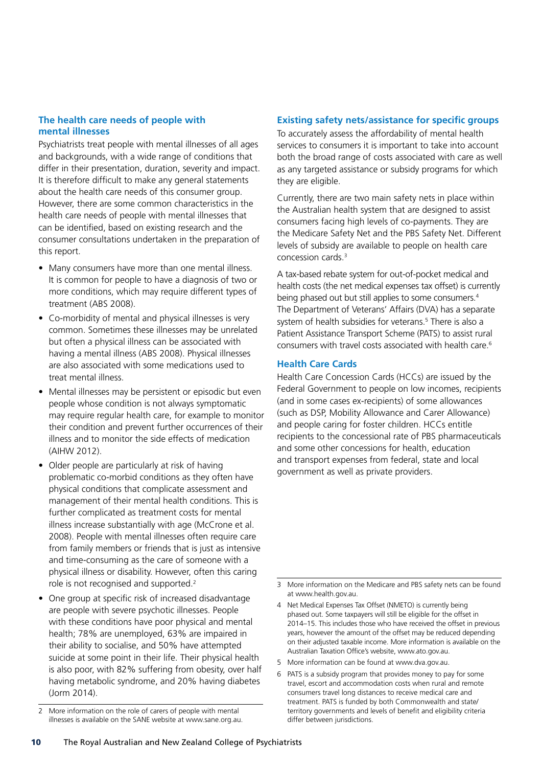### <span id="page-11-0"></span>**The health care needs of people with mental illnesses**

Psychiatrists treat people with mental illnesses of all ages and backgrounds, with a wide range of conditions that differ in their presentation, duration, severity and impact. It is therefore difficult to make any general statements about the health care needs of this consumer group. However, there are some common characteristics in the health care needs of people with mental illnesses that can be identified, based on existing research and the consumer consultations undertaken in the preparation of this report.

- Many consumers have more than one mental illness. It is common for people to have a diagnosis of two or more conditions, which may require different types of treatment (ABS 2008).
- Co-morbidity of mental and physical illnesses is very common. Sometimes these illnesses may be unrelated but often a physical illness can be associated with having a mental illness (ABS 2008). Physical illnesses are also associated with some medications used to treat mental illness.
- Mental illnesses may be persistent or episodic but even people whose condition is not always symptomatic may require regular health care, for example to monitor their condition and prevent further occurrences of their illness and to monitor the side effects of medication (AIHW 2012).
- Older people are particularly at risk of having problematic co-morbid conditions as they often have physical conditions that complicate assessment and management of their mental health conditions. This is further complicated as treatment costs for mental illness increase substantially with age (McCrone et al. 2008). People with mental illnesses often require care from family members or friends that is just as intensive and time-consuming as the care of someone with a physical illness or disability. However, often this caring role is not recognised and supported.<sup>2</sup>
- One group at specific risk of increased disadvantage are people with severe psychotic illnesses. People with these conditions have poor physical and mental health; 78% are unemployed, 63% are impaired in their ability to socialise, and 50% have attempted suicide at some point in their life. Their physical health is also poor, with 82% suffering from obesity, over half having metabolic syndrome, and 20% having diabetes (Jorm 2014).

### **Existing safety nets/assistance for specific groups**

To accurately assess the affordability of mental health services to consumers it is important to take into account both the broad range of costs associated with care as well as any targeted assistance or subsidy programs for which they are eligible.

Currently, there are two main safety nets in place within the Australian health system that are designed to assist consumers facing high levels of co-payments. They are the Medicare Safety Net and the PBS Safety Net. Different levels of subsidy are available to people on health care concession cards.3

A tax-based rebate system for out-of-pocket medical and health costs (the net medical expenses tax offset) is currently being phased out but still applies to some consumers.<sup>4</sup> The Department of Veterans' Affairs (DVA) has a separate system of health subsidies for veterans.<sup>5</sup> There is also a Patient Assistance Transport Scheme (PATS) to assist rural consumers with travel costs associated with health care.6

### **Health Care Cards**

Health Care Concession Cards (HCCs) are issued by the Federal Government to people on low incomes, recipients (and in some cases ex-recipients) of some allowances (such as DSP, Mobility Allowance and Carer Allowance) and people caring for foster children. HCCs entitle recipients to the concessional rate of PBS pharmaceuticals and some other concessions for health, education and transport expenses from federal, state and local government as well as private providers.

- 5 More information can be found at www.dva.gov.au.
- 6 PATS is a subsidy program that provides money to pay for some travel, escort and accommodation costs when rural and remote consumers travel long distances to receive medical care and treatment. PATS is funded by both Commonwealth and state/ territory governments and levels of benefit and eligibility criteria differ between jurisdictions.

<sup>2</sup> More information on the role of carers of people with mental illnesses is available on the SANE website at www.sane.org.au.

<sup>3</sup> More information on the Medicare and PBS safety nets can be found at www.health.gov.au.

<sup>4</sup> Net Medical Expenses Tax Offset (NMETO) is currently being phased out. Some taxpayers will still be eligible for the offset in 2014–15. This includes those who have received the offset in previous years, however the amount of the offset may be reduced depending on their adjusted taxable income. More information is available on the Australian Taxation Office's website, www.ato.gov.au.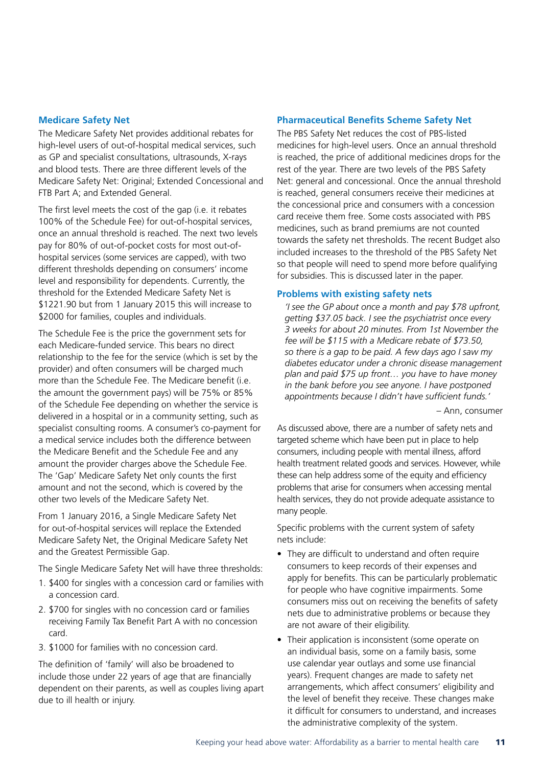### <span id="page-12-0"></span>**Medicare Safety Net**

The Medicare Safety Net provides additional rebates for high-level users of out-of-hospital medical services, such as GP and specialist consultations, ultrasounds, X-rays and blood tests. There are three different levels of the Medicare Safety Net: Original; Extended Concessional and FTB Part A; and Extended General.

The first level meets the cost of the gap (i.e. it rebates 100% of the Schedule Fee) for out-of-hospital services, once an annual threshold is reached. The next two levels pay for 80% of out-of-pocket costs for most out-ofhospital services (some services are capped), with two different thresholds depending on consumers' income level and responsibility for dependents. Currently, the threshold for the Extended Medicare Safety Net is \$1221.90 but from 1 January 2015 this will increase to \$2000 for families, couples and individuals.

The Schedule Fee is the price the government sets for each Medicare-funded service. This bears no direct relationship to the fee for the service (which is set by the provider) and often consumers will be charged much more than the Schedule Fee. The Medicare benefit (i.e. the amount the government pays) will be 75% or 85% of the Schedule Fee depending on whether the service is delivered in a hospital or in a community setting, such as specialist consulting rooms. A consumer's co-payment for a medical service includes both the difference between the Medicare Benefit and the Schedule Fee and any amount the provider charges above the Schedule Fee. The 'Gap' Medicare Safety Net only counts the first amount and not the second, which is covered by the other two levels of the Medicare Safety Net.

From 1 January 2016, a Single Medicare Safety Net for out-of-hospital services will replace the Extended Medicare Safety Net, the Original Medicare Safety Net and the Greatest Permissible Gap.

The Single Medicare Safety Net will have three thresholds:

- 1. \$400 for singles with a concession card or families with a concession card.
- 2. \$700 for singles with no concession card or families receiving Family Tax Benefit Part A with no concession card.
- 3. \$1000 for families with no concession card.

The definition of 'family' will also be broadened to include those under 22 years of age that are financially dependent on their parents, as well as couples living apart due to ill health or injury.

### **Pharmaceutical Benefits Scheme Safety Net**

The PBS Safety Net reduces the cost of PBS-listed medicines for high-level users. Once an annual threshold is reached, the price of additional medicines drops for the rest of the year. There are two levels of the PBS Safety Net: general and concessional. Once the annual threshold is reached, general consumers receive their medicines at the concessional price and consumers with a concession card receive them free. Some costs associated with PBS medicines, such as brand premiums are not counted towards the safety net thresholds. The recent Budget also included increases to the threshold of the PBS Safety Net so that people will need to spend more before qualifying for subsidies. This is discussed later in the paper.

### **Problems with existing safety nets**

*'I see the GP about once a month and pay \$78 upfront, getting \$37.05 back. I see the psychiatrist once every 3 weeks for about 20 minutes. From 1st November the fee will be \$115 with a Medicare rebate of \$73.50, so there is a gap to be paid. A few days ago I saw my diabetes educator under a chronic disease management plan and paid \$75 up front… you have to have money in the bank before you see anyone. I have postponed appointments because I didn't have sufficient funds.'* 

– Ann, consumer

As discussed above, there are a number of safety nets and targeted scheme which have been put in place to help consumers, including people with mental illness, afford health treatment related goods and services. However, while these can help address some of the equity and efficiency problems that arise for consumers when accessing mental health services, they do not provide adequate assistance to many people.

Specific problems with the current system of safety nets include:

- They are difficult to understand and often require consumers to keep records of their expenses and apply for benefits. This can be particularly problematic for people who have cognitive impairments. Some consumers miss out on receiving the benefits of safety nets due to administrative problems or because they are not aware of their eligibility.
- Their application is inconsistent (some operate on an individual basis, some on a family basis, some use calendar year outlays and some use financial years). Frequent changes are made to safety net arrangements, which affect consumers' eligibility and the level of benefit they receive. These changes make it difficult for consumers to understand, and increases the administrative complexity of the system.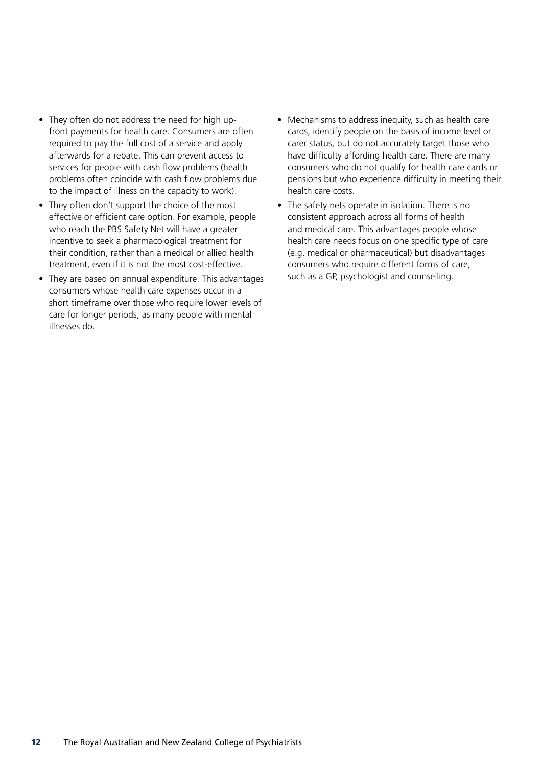- They often do not address the need for high upfront payments for health care. Consumers are often required to pay the full cost of a service and apply afterwards for a rebate. This can prevent access to services for people with cash flow problems (health problems often coincide with cash flow problems due to the impact of illness on the capacity to work).
- They often don't support the choice of the most effective or efficient care option. For example, people who reach the PBS Safety Net will have a greater incentive to seek a pharmacological treatment for their condition, rather than a medical or allied health treatment, even if it is not the most cost-effective.
- They are based on annual expenditure. This advantages consumers whose health care expenses occur in a short timeframe over those who require lower levels of care for longer periods, as many people with mental illnesses do.
- Mechanisms to address inequity, such as health care cards, identify people on the basis of income level or carer status, but do not accurately target those who have difficulty affording health care. There are many consumers who do not qualify for health care cards or pensions but who experience difficulty in meeting their health care costs.
- The safety nets operate in isolation. There is no consistent approach across all forms of health and medical care. This advantages people whose health care needs focus on one specific type of care (e.g. medical or pharmaceutical) but disadvantages consumers who require different forms of care, such as a GP, psychologist and counselling.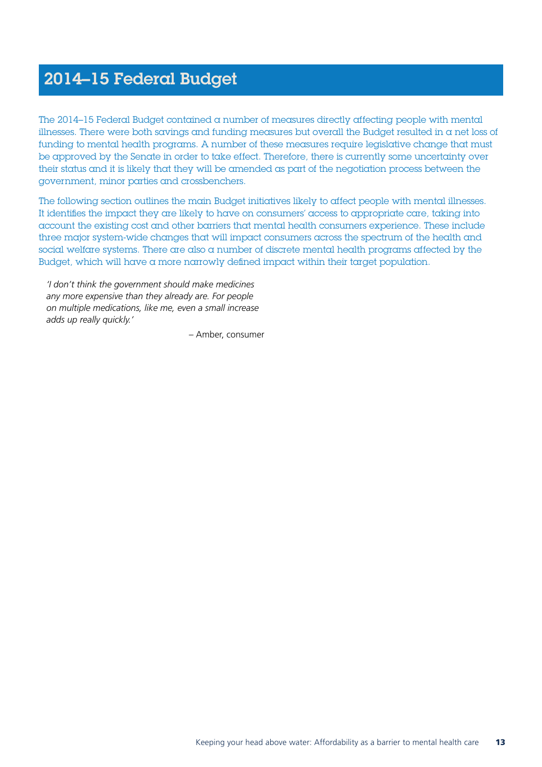## <span id="page-14-0"></span>2014–15 Federal Budget

The 2014–15 Federal Budget contained a number of measures directly affecting people with mental illnesses. There were both savings and funding measures but overall the Budget resulted in a net loss of funding to mental health programs. A number of these measures require legislative change that must be approved by the Senate in order to take effect. Therefore, there is currently some uncertainty over their status and it is likely that they will be amended as part of the negotiation process between the government, minor parties and crossbenchers.

The following section outlines the main Budget initiatives likely to affect people with mental illnesses. It identifies the impact they are likely to have on consumers' access to appropriate care, taking into account the existing cost and other barriers that mental health consumers experience. These include three major system-wide changes that will impact consumers across the spectrum of the health and social welfare systems. There are also a number of discrete mental health programs affected by the Budget, which will have a more narrowly defined impact within their target population.

*'I don't think the government should make medicines any more expensive than they already are. For people on multiple medications, like me, even a small increase adds up really quickly.'*

– Amber, consumer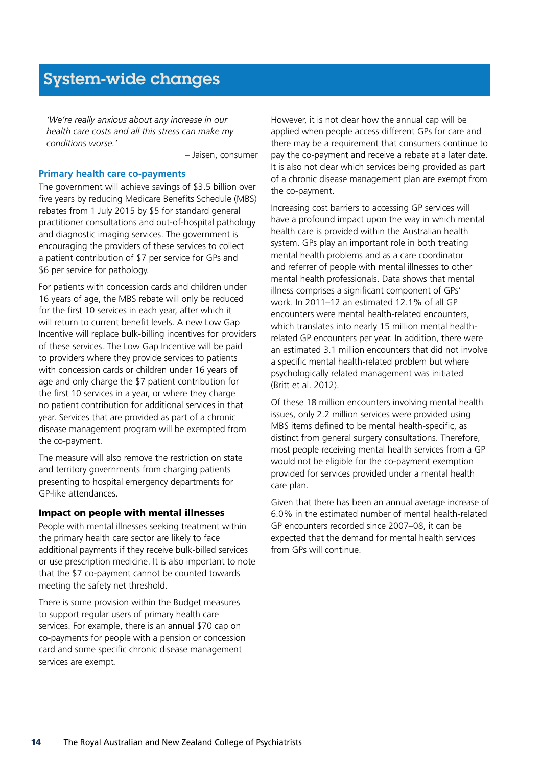### <span id="page-15-0"></span>System-wide changes

*'We're really anxious about any increase in our health care costs and all this stress can make my conditions worse.'* 

– Jaisen, consumer

#### **Primary health care co-payments**

The government will achieve savings of \$3.5 billion over five years by reducing Medicare Benefits Schedule (MBS) rebates from 1 July 2015 by \$5 for standard general practitioner consultations and out-of-hospital pathology and diagnostic imaging services. The government is encouraging the providers of these services to collect a patient contribution of \$7 per service for GPs and \$6 per service for pathology.

For patients with concession cards and children under 16 years of age, the MBS rebate will only be reduced for the first 10 services in each year, after which it will return to current benefit levels. A new Low Gap Incentive will replace bulk-billing incentives for providers of these services. The Low Gap Incentive will be paid to providers where they provide services to patients with concession cards or children under 16 years of age and only charge the \$7 patient contribution for the first 10 services in a year, or where they charge no patient contribution for additional services in that year. Services that are provided as part of a chronic disease management program will be exempted from the co-payment.

The measure will also remove the restriction on state and territory governments from charging patients presenting to hospital emergency departments for GP-like attendances.

#### Impact on people with mental illnesses

People with mental illnesses seeking treatment within the primary health care sector are likely to face additional payments if they receive bulk-billed services or use prescription medicine. It is also important to note that the \$7 co-payment cannot be counted towards meeting the safety net threshold.

There is some provision within the Budget measures to support regular users of primary health care services. For example, there is an annual \$70 cap on co-payments for people with a pension or concession card and some specific chronic disease management services are exempt.

However, it is not clear how the annual cap will be applied when people access different GPs for care and there may be a requirement that consumers continue to pay the co-payment and receive a rebate at a later date. It is also not clear which services being provided as part of a chronic disease management plan are exempt from the co-payment.

Increasing cost barriers to accessing GP services will have a profound impact upon the way in which mental health care is provided within the Australian health system. GPs play an important role in both treating mental health problems and as a care coordinator and referrer of people with mental illnesses to other mental health professionals. Data shows that mental illness comprises a significant component of GPs' work. In 2011–12 an estimated 12.1% of all GP encounters were mental health-related encounters, which translates into nearly 15 million mental healthrelated GP encounters per year. In addition, there were an estimated 3.1 million encounters that did not involve a specific mental health-related problem but where psychologically related management was initiated (Britt et al. 2012).

Of these 18 million encounters involving mental health issues, only 2.2 million services were provided using MBS items defined to be mental health-specific, as distinct from general surgery consultations. Therefore, most people receiving mental health services from a GP would not be eligible for the co-payment exemption provided for services provided under a mental health care plan.

Given that there has been an annual average increase of 6.0% in the estimated number of mental health-related GP encounters recorded since 2007–08, it can be expected that the demand for mental health services from GPs will continue.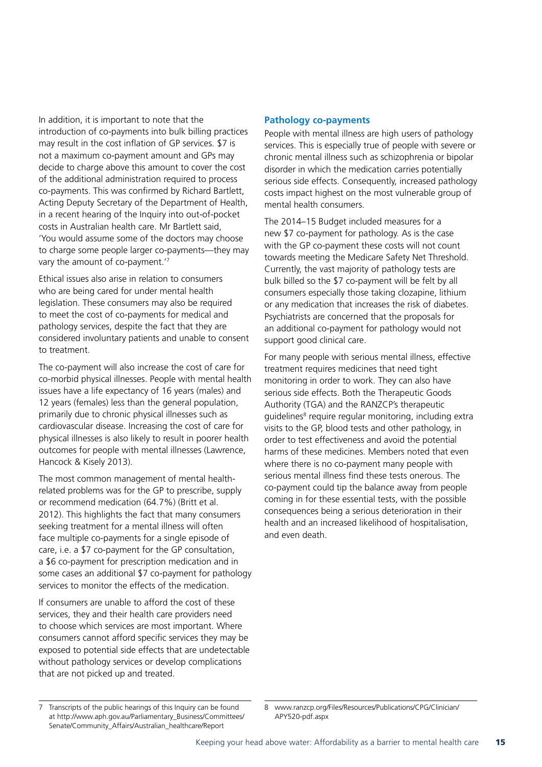<span id="page-16-0"></span>In addition, it is important to note that the introduction of co-payments into bulk billing practices may result in the cost inflation of GP services. \$7 is not a maximum co-payment amount and GPs may decide to charge above this amount to cover the cost of the additional administration required to process co-payments. This was confirmed by Richard Bartlett, Acting Deputy Secretary of the Department of Health, in a recent hearing of the Inquiry into out-of-pocket costs in Australian health care. Mr Bartlett said, 'You would assume some of the doctors may choose to charge some people larger co-payments—they may vary the amount of co-payment.'7

Ethical issues also arise in relation to consumers who are being cared for under mental health legislation. These consumers may also be required to meet the cost of co-payments for medical and pathology services, despite the fact that they are considered involuntary patients and unable to consent to treatment.

The co-payment will also increase the cost of care for co-morbid physical illnesses. People with mental health issues have a life expectancy of 16 years (males) and 12 years (females) less than the general population, primarily due to chronic physical illnesses such as cardiovascular disease. Increasing the cost of care for physical illnesses is also likely to result in poorer health outcomes for people with mental illnesses (Lawrence, Hancock & Kisely 2013).

The most common management of mental healthrelated problems was for the GP to prescribe, supply or recommend medication (64.7%) (Britt et al. 2012). This highlights the fact that many consumers seeking treatment for a mental illness will often face multiple co-payments for a single episode of care, i.e. a \$7 co-payment for the GP consultation, a \$6 co-payment for prescription medication and in some cases an additional \$7 co-payment for pathology services to monitor the effects of the medication.

If consumers are unable to afford the cost of these services, they and their health care providers need to choose which services are most important. Where consumers cannot afford specific services they may be exposed to potential side effects that are undetectable without pathology services or develop complications that are not picked up and treated.

### **Pathology co-payments**

People with mental illness are high users of pathology services. This is especially true of people with severe or chronic mental illness such as schizophrenia or bipolar disorder in which the medication carries potentially serious side effects. Consequently, increased pathology costs impact highest on the most vulnerable group of mental health consumers.

The 2014–15 Budget included measures for a new \$7 co-payment for pathology. As is the case with the GP co-payment these costs will not count towards meeting the Medicare Safety Net Threshold. Currently, the vast majority of pathology tests are bulk billed so the \$7 co-payment will be felt by all consumers especially those taking clozapine, lithium or any medication that increases the risk of diabetes. Psychiatrists are concerned that the proposals for an additional co-payment for pathology would not support good clinical care.

For many people with serious mental illness, effective treatment requires medicines that need tight monitoring in order to work. They can also have serious side effects. Both the Therapeutic Goods Authority (TGA) and the RANZCP's therapeutic guidelines<sup>8</sup> require regular monitoring, including extra visits to the GP, blood tests and other pathology, in order to test effectiveness and avoid the potential harms of these medicines. Members noted that even where there is no co-payment many people with serious mental illness find these tests onerous. The co-payment could tip the balance away from people coming in for these essential tests, with the possible consequences being a serious deterioration in their health and an increased likelihood of hospitalisation, and even death.

<sup>7</sup> Transcripts of the public hearings of this Inquiry can be found at http://www.aph.gov.au/Parliamentary\_Business/Committees/ Senate/Community\_Affairs/Australian\_healthcare/Report

<sup>8</sup> www.ranzcp.org/Files/Resources/Publications/CPG/Clinician/ APY520-pdf.aspx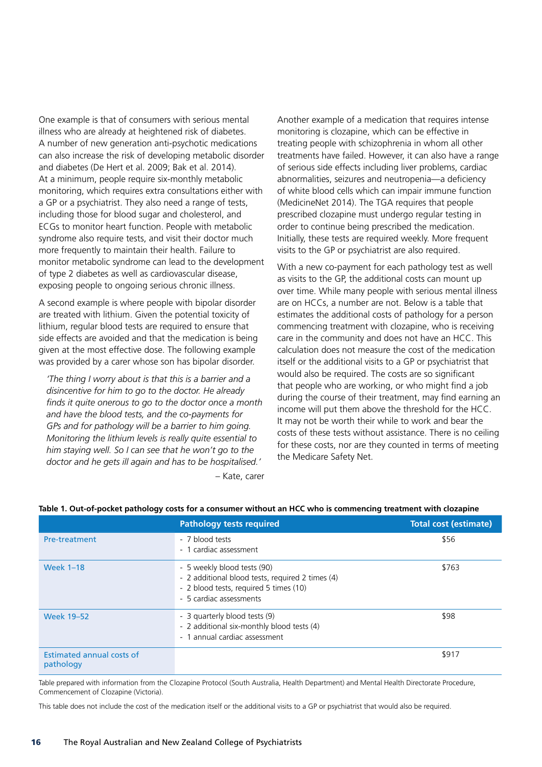One example is that of consumers with serious mental illness who are already at heightened risk of diabetes. A number of new generation anti-psychotic medications can also increase the risk of developing metabolic disorder and diabetes (De Hert et al. 2009; Bak et al. 2014). At a minimum, people require six-monthly metabolic monitoring, which requires extra consultations either with a GP or a psychiatrist. They also need a range of tests, including those for blood sugar and cholesterol, and ECGs to monitor heart function. People with metabolic syndrome also require tests, and visit their doctor much more frequently to maintain their health. Failure to monitor metabolic syndrome can lead to the development of type 2 diabetes as well as cardiovascular disease, exposing people to ongoing serious chronic illness.

A second example is where people with bipolar disorder are treated with lithium. Given the potential toxicity of lithium, regular blood tests are required to ensure that side effects are avoided and that the medication is being given at the most effective dose. The following example was provided by a carer whose son has bipolar disorder.

*'The thing I worry about is that this is a barrier and a disincentive for him to go to the doctor. He already finds it quite onerous to go to the doctor once a month and have the blood tests, and the co-payments for GPs and for pathology will be a barrier to him going. Monitoring the lithium levels is really quite essential to him staying well. So I can see that he won't go to the doctor and he gets ill again and has to be hospitalised.'*  – Kate, carer Another example of a medication that requires intense monitoring is clozapine, which can be effective in treating people with schizophrenia in whom all other treatments have failed. However, it can also have a range of serious side effects including liver problems, cardiac abnormalities, seizures and neutropenia—a deficiency of white blood cells which can impair immune function (MedicineNet 2014). The TGA requires that people prescribed clozapine must undergo regular testing in order to continue being prescribed the medication. Initially, these tests are required weekly. More frequent visits to the GP or psychiatrist are also required.

With a new co-payment for each pathology test as well as visits to the GP, the additional costs can mount up over time. While many people with serious mental illness are on HCCs, a number are not. Below is a table that estimates the additional costs of pathology for a person commencing treatment with clozapine, who is receiving care in the community and does not have an HCC. This calculation does not measure the cost of the medication itself or the additional visits to a GP or psychiatrist that would also be required. The costs are so significant that people who are working, or who might find a job during the course of their treatment, may find earning an income will put them above the threshold for the HCC. It may not be worth their while to work and bear the costs of these tests without assistance. There is no ceiling for these costs, nor are they counted in terms of meeting the Medicare Safety Net.

|                                        | <b>Hathology tests regulied</b>                                                                                                                      | <b>POLAI COST (CSTITIOLC)</b> |
|----------------------------------------|------------------------------------------------------------------------------------------------------------------------------------------------------|-------------------------------|
| <b>Pre-treatment</b>                   | - 7 blood tests<br>- 1 cardiac assessment                                                                                                            | \$56                          |
| <b>Week 1-18</b>                       | - 5 weekly blood tests (90)<br>- 2 additional blood tests, required 2 times (4)<br>- 2 blood tests, required 5 times (10)<br>- 5 cardiac assessments | \$763                         |
| <b>Week 19-52</b>                      | - 3 quarterly blood tests (9)<br>- 2 additional six-monthly blood tests (4)<br>- 1 annual cardiac assessment                                         | \$98                          |
| Estimated annual costs of<br>pathology |                                                                                                                                                      | \$917                         |

#### **Table 1. Out-of-pocket pathology costs for a consumer without an HCC who is commencing treatment with clozapine**

**Pathology tests required Total cost (estimate)**

Table prepared with information from the Clozapine Protocol (South Australia, Health Department) and Mental Health Directorate Procedure, Commencement of Clozapine (Victoria).

This table does not include the cost of the medication itself or the additional visits to a GP or psychiatrist that would also be required.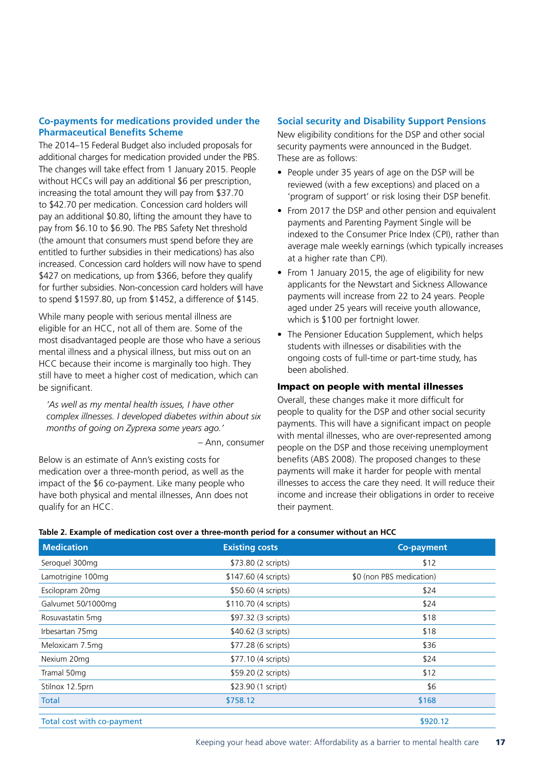### <span id="page-18-0"></span>**Co-payments for medications provided under the Pharmaceutical Benefits Scheme**

The 2014–15 Federal Budget also included proposals for additional charges for medication provided under the PBS. The changes will take effect from 1 January 2015. People without HCCs will pay an additional \$6 per prescription, increasing the total amount they will pay from \$37.70 to \$42.70 per medication. Concession card holders will pay an additional \$0.80, lifting the amount they have to pay from \$6.10 to \$6.90. The PBS Safety Net threshold (the amount that consumers must spend before they are entitled to further subsidies in their medications) has also increased. Concession card holders will now have to spend \$427 on medications, up from \$366, before they qualify for further subsidies. Non-concession card holders will have to spend \$1597.80, up from \$1452, a difference of \$145.

While many people with serious mental illness are eligible for an HCC, not all of them are. Some of the most disadvantaged people are those who have a serious mental illness and a physical illness, but miss out on an HCC because their income is marginally too high. They still have to meet a higher cost of medication, which can be significant.

*'As well as my mental health issues, I have other complex illnesses. I developed diabetes within about six months of going on Zyprexa some years ago.'* 

– Ann, consumer

Below is an estimate of Ann's existing costs for medication over a three-month period, as well as the impact of the \$6 co-payment. Like many people who have both physical and mental illnesses, Ann does not qualify for an HCC.

### **Social security and Disability Support Pensions**

New eligibility conditions for the DSP and other social security payments were announced in the Budget. These are as follows:

- People under 35 years of age on the DSP will be reviewed (with a few exceptions) and placed on a 'program of support' or risk losing their DSP benefit.
- From 2017 the DSP and other pension and equivalent payments and Parenting Payment Single will be indexed to the Consumer Price Index (CPI), rather than average male weekly earnings (which typically increases at a higher rate than CPI).
- From 1 January 2015, the age of eligibility for new applicants for the Newstart and Sickness Allowance payments will increase from 22 to 24 years. People aged under 25 years will receive youth allowance, which is \$100 per fortnight lower.
- The Pensioner Education Supplement, which helps students with illnesses or disabilities with the ongoing costs of full-time or part-time study, has been abolished.

### Impact on people with mental illnesses

Overall, these changes make it more difficult for people to quality for the DSP and other social security payments. This will have a significant impact on people with mental illnesses, who are over-represented among people on the DSP and those receiving unemployment benefits (ABS 2008). The proposed changes to these payments will make it harder for people with mental illnesses to access the care they need. It will reduce their income and increase their obligations in order to receive their payment.

#### **Table 2. Example of medication cost over a three-month period for a consumer without an HCC**

| <b>Medication</b>          | <b>Existing costs</b> | <b>Co-payment</b>        |
|----------------------------|-----------------------|--------------------------|
| Seroquel 300mg             | \$73.80 (2 scripts)   | \$12                     |
| Lamotrigine 100mg          | \$147.60 (4 scripts)  | \$0 (non PBS medication) |
| Escilopram 20mg            | \$50.60 (4 scripts)   | \$24                     |
| Galvumet 50/1000mg         | \$110.70 (4 scripts)  | \$24                     |
| Rosuvastatin 5mg           | \$97.32 (3 scripts)   | \$18                     |
| Irbesartan 75mg            | \$40.62 (3 scripts)   | \$18                     |
| Meloxicam 7.5mg            | \$77.28 (6 scripts)   | \$36                     |
| Nexium 20mg                | \$77.10 (4 scripts)   | \$24                     |
| Tramal 50mg                | \$59.20 (2 scripts)   | \$12                     |
| Stilnox 12.5prn            | \$23.90 (1 script)    | \$6                      |
| <b>Total</b>               | \$758.12              | \$168                    |
| Total cost with co-payment |                       | \$920.12                 |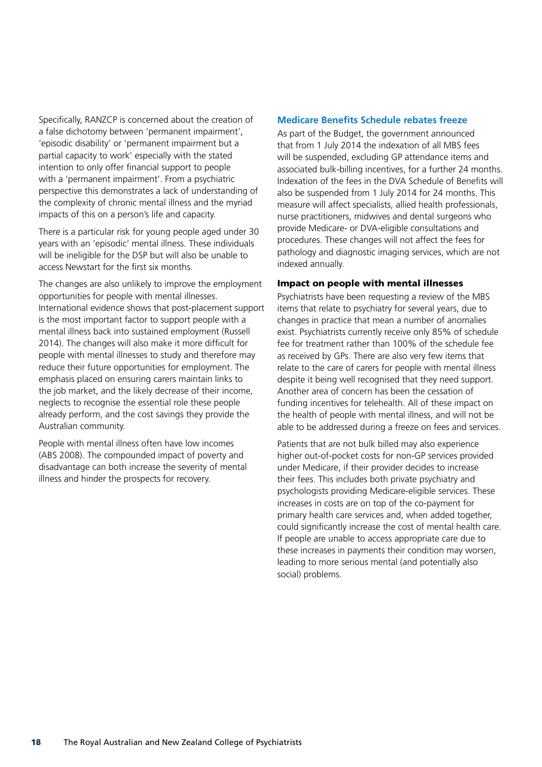<span id="page-19-0"></span>Specifically, RANZCP is concerned about the creation of a false dichotomy between 'permanent impairment', 'episodic disability' or 'permanent impairment but a partial capacity to work' especially with the stated intention to only offer financial support to people with a 'permanent impairment'. From a psychiatric perspective this demonstrates a lack of understanding of the complexity of chronic mental illness and the myriad impacts of this on a person's life and capacity.

There is a particular risk for young people aged under 30 years with an 'episodic' mental illness. These individuals will be ineligible for the DSP but will also be unable to access Newstart for the first six months.

The changes are also unlikely to improve the employment opportunities for people with mental illnesses. International evidence shows that post-placement support is the most important factor to support people with a mental illness back into sustained employment (Russell 2014). The changes will also make it more difficult for people with mental illnesses to study and therefore may reduce their future opportunities for employment. The emphasis placed on ensuring carers maintain links to the job market, and the likely decrease of their income, neglects to recognise the essential role these people already perform, and the cost savings they provide the Australian community.

People with mental illness often have low incomes (ABS 2008). The compounded impact of poverty and disadvantage can both increase the severity of mental illness and hinder the prospects for recovery.

### **Medicare Benefits Schedule rebates freeze**

As part of the Budget, the government announced that from 1 July 2014 the indexation of all MBS fees will be suspended, excluding GP attendance items and associated bulk-billing incentives, for a further 24 months. Indexation of the fees in the DVA Schedule of Benefits will also be suspended from 1 July 2014 for 24 months. This measure will affect specialists, allied health professionals, nurse practitioners, midwives and dental surgeons who provide Medicare- or DVA-eligible consultations and procedures. These changes will not affect the fees for pathology and diagnostic imaging services, which are not indexed annually.

### Impact on people with mental illnesses

Psychiatrists have been requesting a review of the MBS items that relate to psychiatry for several years, due to changes in practice that mean a number of anomalies exist. Psychiatrists currently receive only 85% of schedule fee for treatment rather than 100% of the schedule fee as received by GPs. There are also very few items that relate to the care of carers for people with mental illness despite it being well recognised that they need support. Another area of concern has been the cessation of funding incentives for telehealth. All of these impact on the health of people with mental illness, and will not be able to be addressed during a freeze on fees and services.

Patients that are not bulk billed may also experience higher out-of-pocket costs for non-GP services provided under Medicare, if their provider decides to increase their fees. This includes both private psychiatry and psychologists providing Medicare-eligible services. These increases in costs are on top of the co-payment for primary health care services and, when added together, could significantly increase the cost of mental health care. If people are unable to access appropriate care due to these increases in payments their condition may worsen, leading to more serious mental (and potentially also social) problems.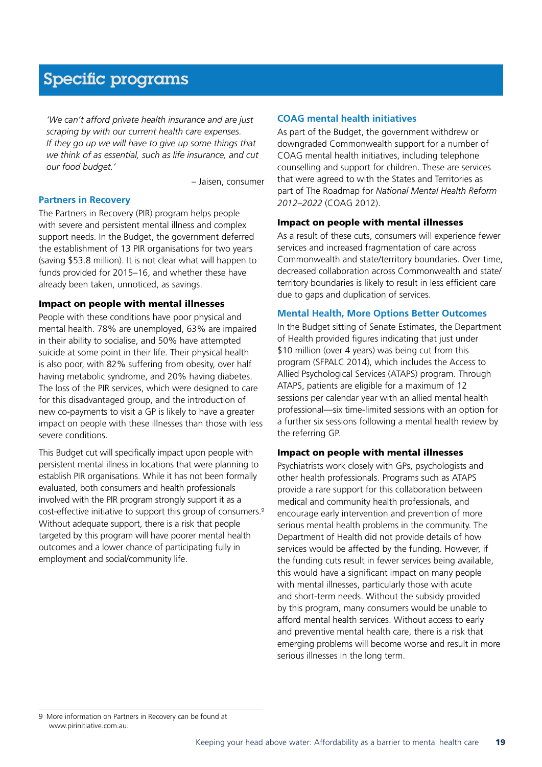### <span id="page-20-0"></span>Specific programs

*'We can't afford private health insurance and are just scraping by with our current health care expenses. If they go up we will have to give up some things that we think of as essential, such as life insurance, and cut our food budget.'* 

– Jaisen, consumer

### **Partners in Recovery**

The Partners in Recovery (PIR) program helps people with severe and persistent mental illness and complex support needs. In the Budget, the government deferred the establishment of 13 PIR organisations for two years (saving \$53.8 million). It is not clear what will happen to funds provided for 2015–16, and whether these have already been taken, unnoticed, as savings.

### Impact on people with mental illnesses

People with these conditions have poor physical and mental health. 78% are unemployed, 63% are impaired in their ability to socialise, and 50% have attempted suicide at some point in their life. Their physical health is also poor, with 82% suffering from obesity, over half having metabolic syndrome, and 20% having diabetes. The loss of the PIR services, which were designed to care for this disadvantaged group, and the introduction of new co-payments to visit a GP is likely to have a greater impact on people with these illnesses than those with less severe conditions.

This Budget cut will specifically impact upon people with persistent mental illness in locations that were planning to establish PIR organisations. While it has not been formally evaluated, both consumers and health professionals involved with the PIR program strongly support it as a cost-effective initiative to support this group of consumers.9 Without adequate support, there is a risk that people targeted by this program will have poorer mental health outcomes and a lower chance of participating fully in employment and social/community life.

### **COAG mental health initiatives**

As part of the Budget, the government withdrew or downgraded Commonwealth support for a number of COAG mental health initiatives, including telephone counselling and support for children. These are services that were agreed to with the States and Territories as part of The Roadmap for *National Mental Health Reform 2012–2022* (COAG 2012).

### Impact on people with mental illnesses

As a result of these cuts, consumers will experience fewer services and increased fragmentation of care across Commonwealth and state/territory boundaries. Over time, decreased collaboration across Commonwealth and state/ territory boundaries is likely to result in less efficient care due to gaps and duplication of services.

### **Mental Health, More Options Better Outcomes**

In the Budget sitting of Senate Estimates, the Department of Health provided figures indicating that just under \$10 million (over 4 years) was being cut from this program (SFPALC 2014), which includes the Access to Allied Psychological Services (ATAPS) program. Through ATAPS, patients are eligible for a maximum of 12 sessions per calendar year with an allied mental health professional—six time-limited sessions with an option for a further six sessions following a mental health review by the referring GP.

### Impact on people with mental illnesses

Psychiatrists work closely with GPs, psychologists and other health professionals. Programs such as ATAPS provide a rare support for this collaboration between medical and community health professionals, and encourage early intervention and prevention of more serious mental health problems in the community. The Department of Health did not provide details of how services would be affected by the funding. However, if the funding cuts result in fewer services being available, this would have a significant impact on many people with mental illnesses, particularly those with acute and short-term needs. Without the subsidy provided by this program, many consumers would be unable to afford mental health services. Without access to early and preventive mental health care, there is a risk that emerging problems will become worse and result in more serious illnesses in the long term.

9 More information on Partners in Recovery can be found at www.pirinitiative.com.au.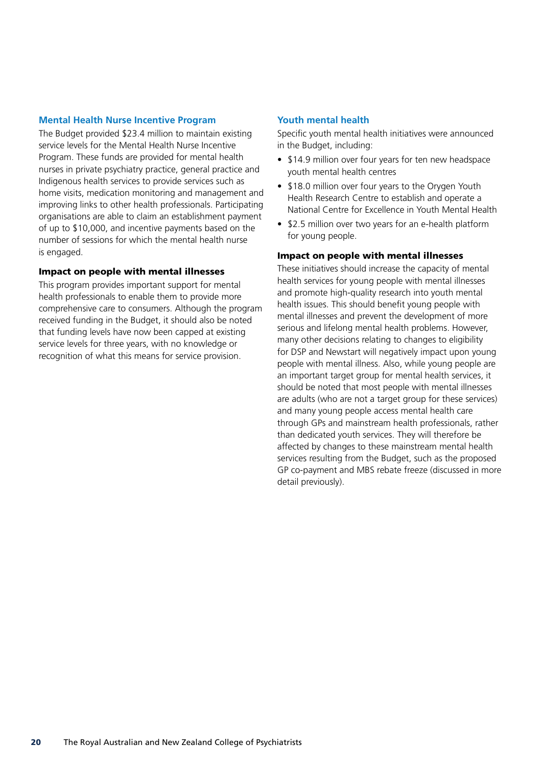### <span id="page-21-0"></span>**Mental Health Nurse Incentive Program**

The Budget provided \$23.4 million to maintain existing service levels for the Mental Health Nurse Incentive Program. These funds are provided for mental health nurses in private psychiatry practice, general practice and Indigenous health services to provide services such as home visits, medication monitoring and management and improving links to other health professionals. Participating organisations are able to claim an establishment payment of up to \$10,000, and incentive payments based on the number of sessions for which the mental health nurse is engaged.

### Impact on people with mental illnesses

This program provides important support for mental health professionals to enable them to provide more comprehensive care to consumers. Although the program received funding in the Budget, it should also be noted that funding levels have now been capped at existing service levels for three years, with no knowledge or recognition of what this means for service provision.

### **Youth mental health**

Specific youth mental health initiatives were announced in the Budget, including:

- \$14.9 million over four years for ten new headspace youth mental health centres
- \$18.0 million over four years to the Orygen Youth Health Research Centre to establish and operate a National Centre for Excellence in Youth Mental Health
- \$2.5 million over two years for an e-health platform for young people.

### Impact on people with mental illnesses

These initiatives should increase the capacity of mental health services for young people with mental illnesses and promote high-quality research into youth mental health issues. This should benefit young people with mental illnesses and prevent the development of more serious and lifelong mental health problems. However, many other decisions relating to changes to eligibility for DSP and Newstart will negatively impact upon young people with mental illness. Also, while young people are an important target group for mental health services, it should be noted that most people with mental illnesses are adults (who are not a target group for these services) and many young people access mental health care through GPs and mainstream health professionals, rather than dedicated youth services. They will therefore be affected by changes to these mainstream mental health services resulting from the Budget, such as the proposed GP co-payment and MBS rebate freeze (discussed in more detail previously).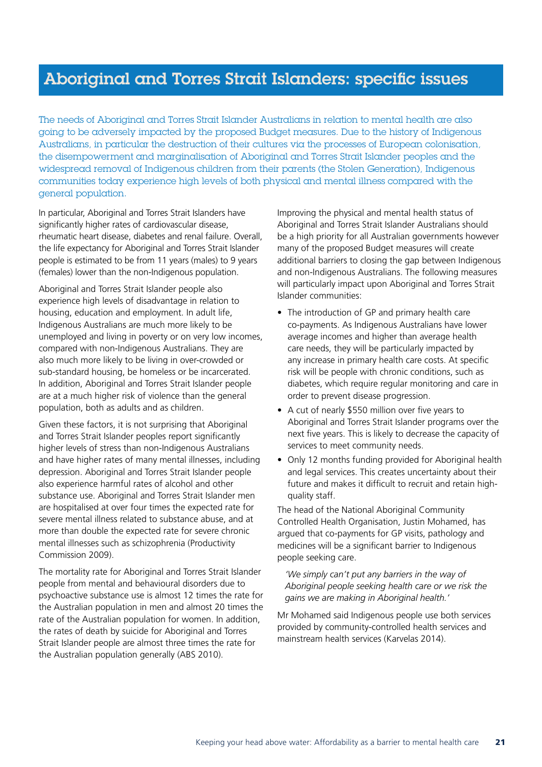# <span id="page-22-0"></span>Aboriginal and Torres Strait Islanders: specific issues

The needs of Aboriginal and Torres Strait Islander Australians in relation to mental health are also going to be adversely impacted by the proposed Budget measures. Due to the history of Indigenous Australians, in particular the destruction of their cultures via the processes of European colonisation, the disempowerment and marginalisation of Aboriginal and Torres Strait Islander peoples and the widespread removal of Indigenous children from their parents (the Stolen Generation), Indigenous communities today experience high levels of both physical and mental illness compared with the general population.

In particular, Aboriginal and Torres Strait Islanders have significantly higher rates of cardiovascular disease, rheumatic heart disease, diabetes and renal failure. Overall, the life expectancy for Aboriginal and Torres Strait Islander people is estimated to be from 11 years (males) to 9 years (females) lower than the non-Indigenous population.

Aboriginal and Torres Strait Islander people also experience high levels of disadvantage in relation to housing, education and employment. In adult life, Indigenous Australians are much more likely to be unemployed and living in poverty or on very low incomes, compared with non-Indigenous Australians. They are also much more likely to be living in over-crowded or sub-standard housing, be homeless or be incarcerated. In addition, Aboriginal and Torres Strait Islander people are at a much higher risk of violence than the general population, both as adults and as children.

Given these factors, it is not surprising that Aboriginal and Torres Strait Islander peoples report significantly higher levels of stress than non-Indigenous Australians and have higher rates of many mental illnesses, including depression. Aboriginal and Torres Strait Islander people also experience harmful rates of alcohol and other substance use. Aboriginal and Torres Strait Islander men are hospitalised at over four times the expected rate for severe mental illness related to substance abuse, and at more than double the expected rate for severe chronic mental illnesses such as schizophrenia (Productivity Commission 2009).

The mortality rate for Aboriginal and Torres Strait Islander people from mental and behavioural disorders due to psychoactive substance use is almost 12 times the rate for the Australian population in men and almost 20 times the rate of the Australian population for women. In addition, the rates of death by suicide for Aboriginal and Torres Strait Islander people are almost three times the rate for the Australian population generally (ABS 2010).

Improving the physical and mental health status of Aboriginal and Torres Strait Islander Australians should be a high priority for all Australian governments however many of the proposed Budget measures will create additional barriers to closing the gap between Indigenous and non-Indigenous Australians. The following measures will particularly impact upon Aboriginal and Torres Strait Islander communities:

- The introduction of GP and primary health care co-payments. As Indigenous Australians have lower average incomes and higher than average health care needs, they will be particularly impacted by any increase in primary health care costs. At specific risk will be people with chronic conditions, such as diabetes, which require regular monitoring and care in order to prevent disease progression.
- A cut of nearly \$550 million over five years to Aboriginal and Torres Strait Islander programs over the next five years. This is likely to decrease the capacity of services to meet community needs.
- Only 12 months funding provided for Aboriginal health and legal services. This creates uncertainty about their future and makes it difficult to recruit and retain highquality staff.

The head of the National Aboriginal Community Controlled Health Organisation, Justin Mohamed, has argued that co-payments for GP visits, pathology and medicines will be a significant barrier to Indigenous people seeking care.

*'We simply can't put any barriers in the way of Aboriginal people seeking health care or we risk the gains we are making in Aboriginal health.'*

Mr Mohamed said Indigenous people use both services provided by community-controlled health services and mainstream health services (Karvelas 2014).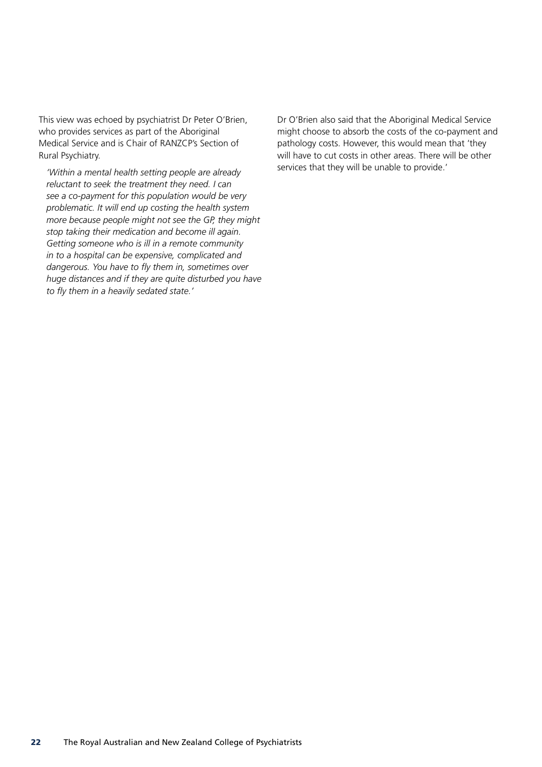This view was echoed by psychiatrist Dr Peter O'Brien, who provides services as part of the Aboriginal Medical Service and is Chair of RANZCP's Section of Rural Psychiatry.

*'Within a mental health setting people are already reluctant to seek the treatment they need. I can see a co-payment for this population would be very problematic. It will end up costing the health system more because people might not see the GP, they might stop taking their medication and become ill again. Getting someone who is ill in a remote community in to a hospital can be expensive, complicated and dangerous. You have to fly them in, sometimes over huge distances and if they are quite disturbed you have to fly them in a heavily sedated state.'*

Dr O'Brien also said that the Aboriginal Medical Service might choose to absorb the costs of the co-payment and pathology costs. However, this would mean that 'they will have to cut costs in other areas. There will be other services that they will be unable to provide.'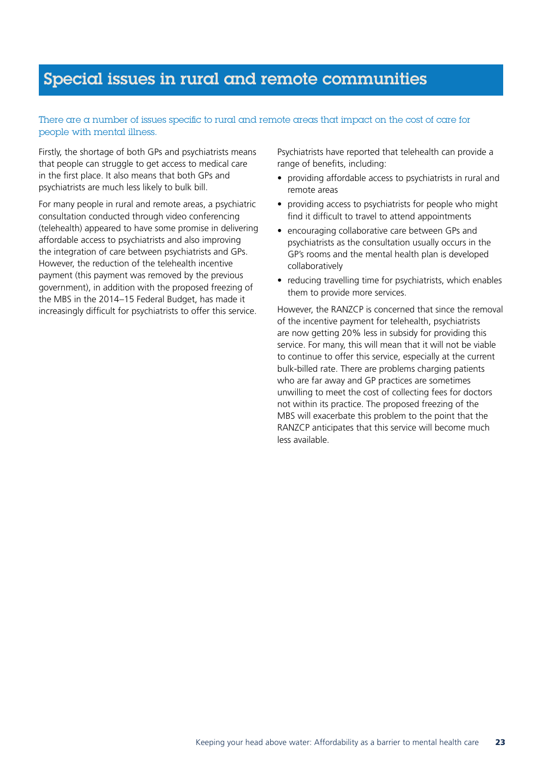### <span id="page-24-0"></span>Special issues in rural and remote communities

### There are a number of issues specific to rural and remote areas that impact on the cost of care for people with mental illness.

Firstly, the shortage of both GPs and psychiatrists means that people can struggle to get access to medical care in the first place. It also means that both GPs and psychiatrists are much less likely to bulk bill.

For many people in rural and remote areas, a psychiatric consultation conducted through video conferencing (telehealth) appeared to have some promise in delivering affordable access to psychiatrists and also improving the integration of care between psychiatrists and GPs. However, the reduction of the telehealth incentive payment (this payment was removed by the previous government), in addition with the proposed freezing of the MBS in the 2014–15 Federal Budget, has made it increasingly difficult for psychiatrists to offer this service.

Psychiatrists have reported that telehealth can provide a range of benefits, including:

- providing affordable access to psychiatrists in rural and remote areas
- providing access to psychiatrists for people who might find it difficult to travel to attend appointments
- encouraging collaborative care between GPs and psychiatrists as the consultation usually occurs in the GP's rooms and the mental health plan is developed collaboratively
- reducing travelling time for psychiatrists, which enables them to provide more services.

However, the RANZCP is concerned that since the removal of the incentive payment for telehealth, psychiatrists are now getting 20% less in subsidy for providing this service. For many, this will mean that it will not be viable to continue to offer this service, especially at the current bulk-billed rate. There are problems charging patients who are far away and GP practices are sometimes unwilling to meet the cost of collecting fees for doctors not within its practice. The proposed freezing of the MBS will exacerbate this problem to the point that the RANZCP anticipates that this service will become much less available.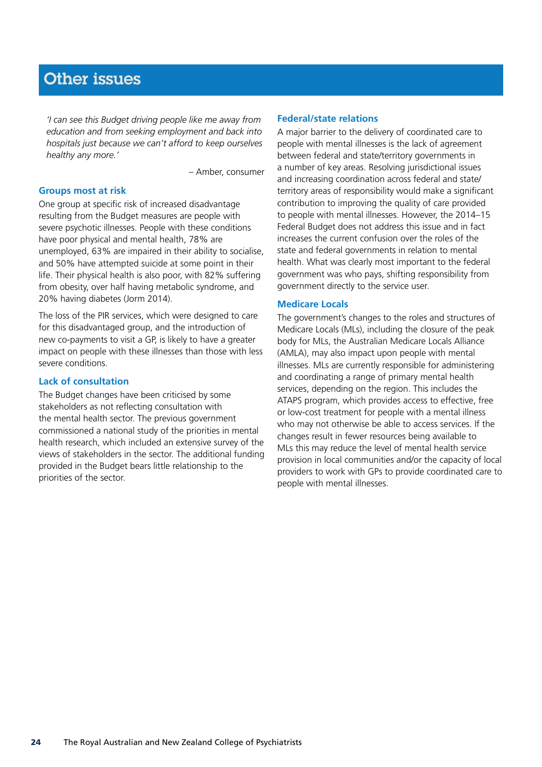## <span id="page-25-0"></span>Other issues

*'I can see this Budget driving people like me away from education and from seeking employment and back into hospitals just because we can't afford to keep ourselves healthy any more.'* 

– Amber, consumer

#### **Groups most at risk**

One group at specific risk of increased disadvantage resulting from the Budget measures are people with severe psychotic illnesses. People with these conditions have poor physical and mental health, 78% are unemployed, 63% are impaired in their ability to socialise, and 50% have attempted suicide at some point in their life. Their physical health is also poor, with 82% suffering from obesity, over half having metabolic syndrome, and 20% having diabetes (Jorm 2014).

The loss of the PIR services, which were designed to care for this disadvantaged group, and the introduction of new co-payments to visit a GP, is likely to have a greater impact on people with these illnesses than those with less severe conditions.

### **Lack of consultation**

The Budget changes have been criticised by some stakeholders as not reflecting consultation with the mental health sector. The previous government commissioned a national study of the priorities in mental health research, which included an extensive survey of the views of stakeholders in the sector. The additional funding provided in the Budget bears little relationship to the priorities of the sector.

### **Federal/state relations**

A major barrier to the delivery of coordinated care to people with mental illnesses is the lack of agreement between federal and state/territory governments in a number of key areas. Resolving jurisdictional issues and increasing coordination across federal and state/ territory areas of responsibility would make a significant contribution to improving the quality of care provided to people with mental illnesses. However, the 2014–15 Federal Budget does not address this issue and in fact increases the current confusion over the roles of the state and federal governments in relation to mental health. What was clearly most important to the federal government was who pays, shifting responsibility from government directly to the service user.

#### **Medicare Locals**

The government's changes to the roles and structures of Medicare Locals (MLs), including the closure of the peak body for MLs, the Australian Medicare Locals Alliance (AMLA), may also impact upon people with mental illnesses. MLs are currently responsible for administering and coordinating a range of primary mental health services, depending on the region. This includes the ATAPS program, which provides access to effective, free or low-cost treatment for people with a mental illness who may not otherwise be able to access services. If the changes result in fewer resources being available to MLs this may reduce the level of mental health service provision in local communities and/or the capacity of local providers to work with GPs to provide coordinated care to people with mental illnesses.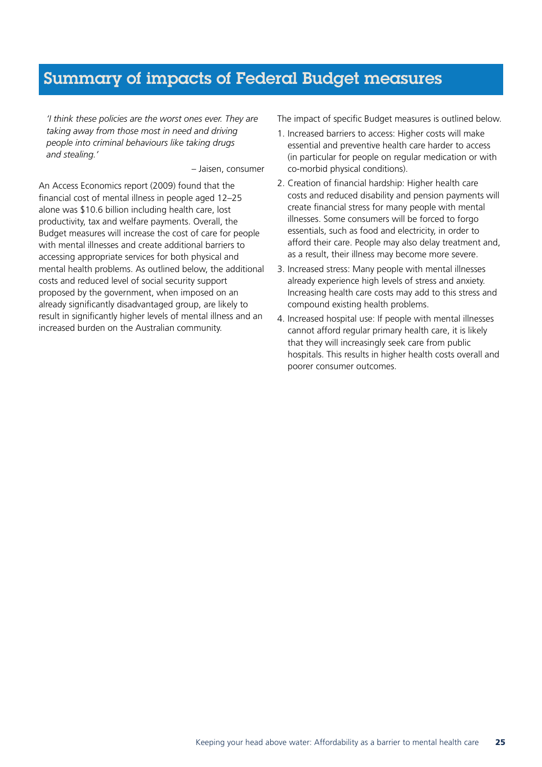### <span id="page-26-0"></span>Summary of impacts of Federal Budget measures

*'I think these policies are the worst ones ever. They are taking away from those most in need and driving people into criminal behaviours like taking drugs and stealing.'* 

– Jaisen, consumer

An Access Economics report (2009) found that the financial cost of mental illness in people aged 12–25 alone was \$10.6 billion including health care, lost productivity, tax and welfare payments. Overall, the Budget measures will increase the cost of care for people with mental illnesses and create additional barriers to accessing appropriate services for both physical and mental health problems. As outlined below, the additional costs and reduced level of social security support proposed by the government, when imposed on an already significantly disadvantaged group, are likely to result in significantly higher levels of mental illness and an increased burden on the Australian community.

The impact of specific Budget measures is outlined below.

- 1. Increased barriers to access: Higher costs will make essential and preventive health care harder to access (in particular for people on regular medication or with co-morbid physical conditions).
- 2. Creation of financial hardship: Higher health care costs and reduced disability and pension payments will create financial stress for many people with mental illnesses. Some consumers will be forced to forgo essentials, such as food and electricity, in order to afford their care. People may also delay treatment and, as a result, their illness may become more severe.
- 3. Increased stress: Many people with mental illnesses already experience high levels of stress and anxiety. Increasing health care costs may add to this stress and compound existing health problems.
- 4. Increased hospital use: If people with mental illnesses cannot afford regular primary health care, it is likely that they will increasingly seek care from public hospitals. This results in higher health costs overall and poorer consumer outcomes.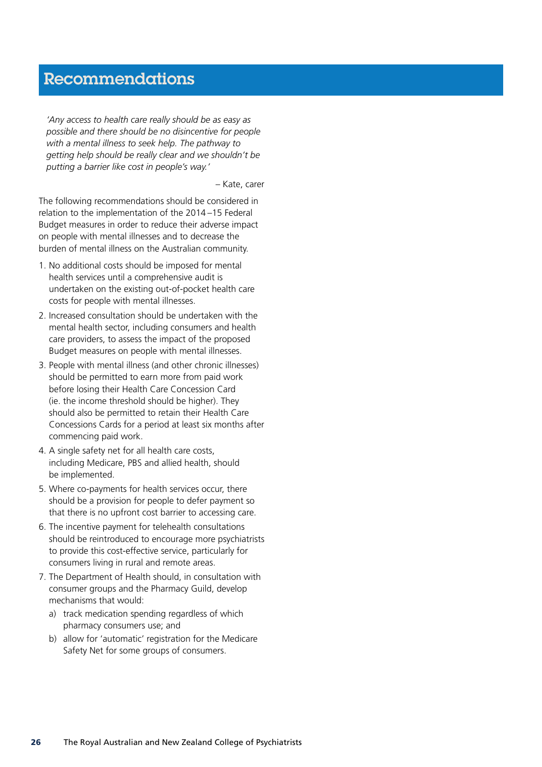### <span id="page-27-0"></span>Recommendations

*'Any access to health care really should be as easy as possible and there should be no disincentive for people with a mental illness to seek help. The pathway to getting help should be really clear and we shouldn't be putting a barrier like cost in people's way.'* 

– Kate, carer

The following recommendations should be considered in relation to the implementation of the 2014 –15 Federal Budget measures in order to reduce their adverse impact on people with mental illnesses and to decrease the burden of mental illness on the Australian community.

- 1. No additional costs should be imposed for mental health services until a comprehensive audit is undertaken on the existing out-of-pocket health care costs for people with mental illnesses.
- 2. Increased consultation should be undertaken with the mental health sector, including consumers and health care providers, to assess the impact of the proposed Budget measures on people with mental illnesses.
- 3. People with mental illness (and other chronic illnesses) should be permitted to earn more from paid work before losing their Health Care Concession Card (ie. the income threshold should be higher). They should also be permitted to retain their Health Care Concessions Cards for a period at least six months after commencing paid work.
- 4. A single safety net for all health care costs, including Medicare, PBS and allied health, should be implemented.
- 5. Where co-payments for health services occur, there should be a provision for people to defer payment so that there is no upfront cost barrier to accessing care.
- 6. The incentive payment for telehealth consultations should be reintroduced to encourage more psychiatrists to provide this cost-effective service, particularly for consumers living in rural and remote areas.
- 7. The Department of Health should, in consultation with consumer groups and the Pharmacy Guild, develop mechanisms that would:
	- a) track medication spending regardless of which pharmacy consumers use; and
	- b) allow for 'automatic' registration for the Medicare Safety Net for some groups of consumers.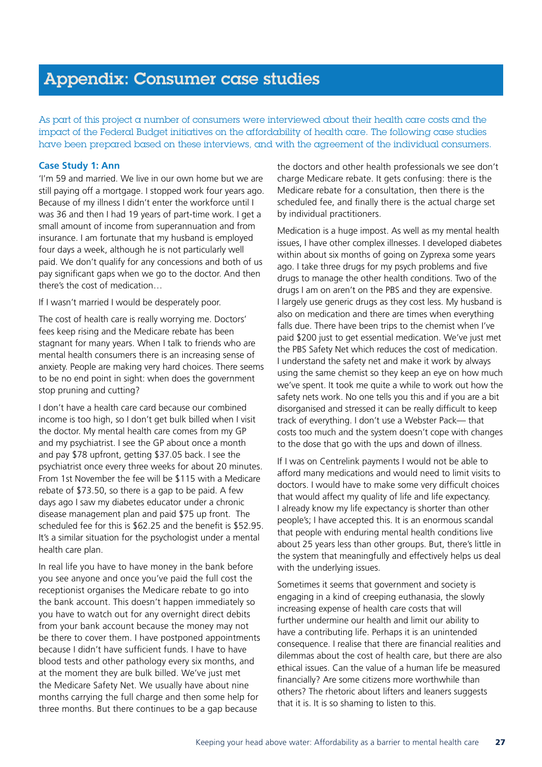### <span id="page-28-0"></span>Appendix: Consumer case studies

As part of this project a number of consumers were interviewed about their health care costs and the impact of the Federal Budget initiatives on the affordability of health care. The following case studies have been prepared based on these interviews, and with the agreement of the individual consumers.

### **Case Study 1: Ann**

'I'm 59 and married. We live in our own home but we are still paying off a mortgage. I stopped work four years ago. Because of my illness I didn't enter the workforce until I was 36 and then I had 19 years of part-time work. I get a small amount of income from superannuation and from insurance. I am fortunate that my husband is employed four days a week, although he is not particularly well paid. We don't qualify for any concessions and both of us pay significant gaps when we go to the doctor. And then there's the cost of medication…

If I wasn't married I would be desperately poor.

The cost of health care is really worrying me. Doctors' fees keep rising and the Medicare rebate has been stagnant for many years. When I talk to friends who are mental health consumers there is an increasing sense of anxiety. People are making very hard choices. There seems to be no end point in sight: when does the government stop pruning and cutting?

I don't have a health care card because our combined income is too high, so I don't get bulk billed when I visit the doctor. My mental health care comes from my GP and my psychiatrist. I see the GP about once a month and pay \$78 upfront, getting \$37.05 back. I see the psychiatrist once every three weeks for about 20 minutes. From 1st November the fee will be \$115 with a Medicare rebate of \$73.50, so there is a gap to be paid. A few days ago I saw my diabetes educator under a chronic disease management plan and paid \$75 up front. The scheduled fee for this is \$62.25 and the benefit is \$52.95. It's a similar situation for the psychologist under a mental health care plan.

In real life you have to have money in the bank before you see anyone and once you've paid the full cost the receptionist organises the Medicare rebate to go into the bank account. This doesn't happen immediately so you have to watch out for any overnight direct debits from your bank account because the money may not be there to cover them. I have postponed appointments because I didn't have sufficient funds. I have to have blood tests and other pathology every six months, and at the moment they are bulk billed. We've just met the Medicare Safety Net. We usually have about nine months carrying the full charge and then some help for three months. But there continues to be a gap because

the doctors and other health professionals we see don't charge Medicare rebate. It gets confusing: there is the Medicare rebate for a consultation, then there is the scheduled fee, and finally there is the actual charge set by individual practitioners.

Medication is a huge impost. As well as my mental health issues, I have other complex illnesses. I developed diabetes within about six months of going on Zyprexa some years ago. I take three drugs for my psych problems and five drugs to manage the other health conditions. Two of the drugs I am on aren't on the PBS and they are expensive. I largely use generic drugs as they cost less. My husband is also on medication and there are times when everything falls due. There have been trips to the chemist when I've paid \$200 just to get essential medication. We've just met the PBS Safety Net which reduces the cost of medication. I understand the safety net and make it work by always using the same chemist so they keep an eye on how much we've spent. It took me quite a while to work out how the safety nets work. No one tells you this and if you are a bit disorganised and stressed it can be really difficult to keep track of everything. I don't use a Webster Pack— that costs too much and the system doesn't cope with changes to the dose that go with the ups and down of illness.

If I was on Centrelink payments I would not be able to afford many medications and would need to limit visits to doctors. I would have to make some very difficult choices that would affect my quality of life and life expectancy. I already know my life expectancy is shorter than other people's; I have accepted this. It is an enormous scandal that people with enduring mental health conditions live about 25 years less than other groups. But, there's little in the system that meaningfully and effectively helps us deal with the underlying issues.

Sometimes it seems that government and society is engaging in a kind of creeping euthanasia, the slowly increasing expense of health care costs that will further undermine our health and limit our ability to have a contributing life. Perhaps it is an unintended consequence. I realise that there are financial realities and dilemmas about the cost of health care, but there are also ethical issues. Can the value of a human life be measured financially? Are some citizens more worthwhile than others? The rhetoric about lifters and leaners suggests that it is. It is so shaming to listen to this.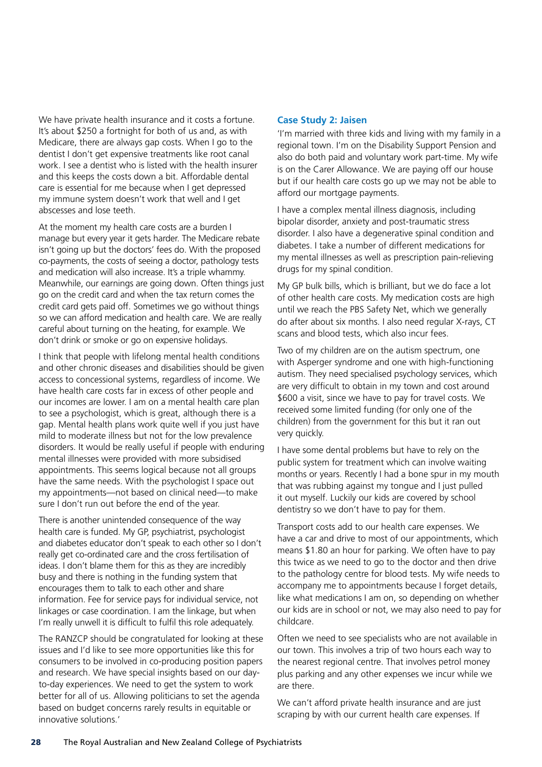<span id="page-29-0"></span>We have private health insurance and it costs a fortune. It's about \$250 a fortnight for both of us and, as with Medicare, there are always gap costs. When I go to the dentist I don't get expensive treatments like root canal work. I see a dentist who is listed with the health insurer and this keeps the costs down a bit. Affordable dental care is essential for me because when I get depressed my immune system doesn't work that well and I get abscesses and lose teeth.

At the moment my health care costs are a burden I manage but every year it gets harder. The Medicare rebate isn't going up but the doctors' fees do. With the proposed co-payments, the costs of seeing a doctor, pathology tests and medication will also increase. It's a triple whammy. Meanwhile, our earnings are going down. Often things just go on the credit card and when the tax return comes the credit card gets paid off. Sometimes we go without things so we can afford medication and health care. We are really careful about turning on the heating, for example. We don't drink or smoke or go on expensive holidays.

I think that people with lifelong mental health conditions and other chronic diseases and disabilities should be given access to concessional systems, regardless of income. We have health care costs far in excess of other people and our incomes are lower. I am on a mental health care plan to see a psychologist, which is great, although there is a gap. Mental health plans work quite well if you just have mild to moderate illness but not for the low prevalence disorders. It would be really useful if people with enduring mental illnesses were provided with more subsidised appointments. This seems logical because not all groups have the same needs. With the psychologist I space out my appointments—not based on clinical need—to make sure I don't run out before the end of the year.

There is another unintended consequence of the way health care is funded. My GP, psychiatrist, psychologist and diabetes educator don't speak to each other so I don't really get co-ordinated care and the cross fertilisation of ideas. I don't blame them for this as they are incredibly busy and there is nothing in the funding system that encourages them to talk to each other and share information. Fee for service pays for individual service, not linkages or case coordination. I am the linkage, but when I'm really unwell it is difficult to fulfil this role adequately.

The RANZCP should be congratulated for looking at these issues and I'd like to see more opportunities like this for consumers to be involved in co-producing position papers and research. We have special insights based on our dayto-day experiences. We need to get the system to work better for all of us. Allowing politicians to set the agenda based on budget concerns rarely results in equitable or innovative solutions.'

### **Case Study 2: Jaisen**

'I'm married with three kids and living with my family in a regional town. I'm on the Disability Support Pension and also do both paid and voluntary work part-time. My wife is on the Carer Allowance. We are paying off our house but if our health care costs go up we may not be able to afford our mortgage payments.

I have a complex mental illness diagnosis, including bipolar disorder, anxiety and post-traumatic stress disorder. I also have a degenerative spinal condition and diabetes. I take a number of different medications for my mental illnesses as well as prescription pain-relieving drugs for my spinal condition.

My GP bulk bills, which is brilliant, but we do face a lot of other health care costs. My medication costs are high until we reach the PBS Safety Net, which we generally do after about six months. I also need regular X-rays, CT scans and blood tests, which also incur fees.

Two of my children are on the autism spectrum, one with Asperger syndrome and one with high-functioning autism. They need specialised psychology services, which are very difficult to obtain in my town and cost around \$600 a visit, since we have to pay for travel costs. We received some limited funding (for only one of the children) from the government for this but it ran out very quickly.

I have some dental problems but have to rely on the public system for treatment which can involve waiting months or years. Recently I had a bone spur in my mouth that was rubbing against my tongue and I just pulled it out myself. Luckily our kids are covered by school dentistry so we don't have to pay for them.

Transport costs add to our health care expenses. We have a car and drive to most of our appointments, which means \$1.80 an hour for parking. We often have to pay this twice as we need to go to the doctor and then drive to the pathology centre for blood tests. My wife needs to accompany me to appointments because I forget details, like what medications I am on, so depending on whether our kids are in school or not, we may also need to pay for childcare.

Often we need to see specialists who are not available in our town. This involves a trip of two hours each way to the nearest regional centre. That involves petrol money plus parking and any other expenses we incur while we are there.

We can't afford private health insurance and are just scraping by with our current health care expenses. If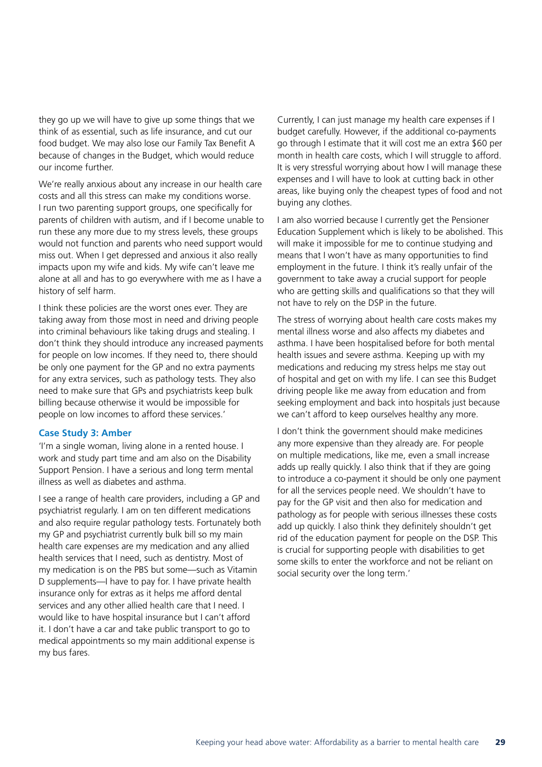<span id="page-30-0"></span>they go up we will have to give up some things that we think of as essential, such as life insurance, and cut our food budget. We may also lose our Family Tax Benefit A because of changes in the Budget, which would reduce our income further.

We're really anxious about any increase in our health care costs and all this stress can make my conditions worse. I run two parenting support groups, one specifically for parents of children with autism, and if I become unable to run these any more due to my stress levels, these groups would not function and parents who need support would miss out. When I get depressed and anxious it also really impacts upon my wife and kids. My wife can't leave me alone at all and has to go everywhere with me as I have a history of self harm.

I think these policies are the worst ones ever. They are taking away from those most in need and driving people into criminal behaviours like taking drugs and stealing. I don't think they should introduce any increased payments for people on low incomes. If they need to, there should be only one payment for the GP and no extra payments for any extra services, such as pathology tests. They also need to make sure that GPs and psychiatrists keep bulk billing because otherwise it would be impossible for people on low incomes to afford these services.'

#### **Case Study 3: Amber**

'I'm a single woman, living alone in a rented house. I work and study part time and am also on the Disability Support Pension. I have a serious and long term mental illness as well as diabetes and asthma.

I see a range of health care providers, including a GP and psychiatrist regularly. I am on ten different medications and also require regular pathology tests. Fortunately both my GP and psychiatrist currently bulk bill so my main health care expenses are my medication and any allied health services that I need, such as dentistry. Most of my medication is on the PBS but some—such as Vitamin D supplements—I have to pay for. I have private health insurance only for extras as it helps me afford dental services and any other allied health care that I need. I would like to have hospital insurance but I can't afford it. I don't have a car and take public transport to go to medical appointments so my main additional expense is my bus fares.

Currently, I can just manage my health care expenses if I budget carefully. However, if the additional co-payments go through I estimate that it will cost me an extra \$60 per month in health care costs, which I will struggle to afford. It is very stressful worrying about how I will manage these expenses and I will have to look at cutting back in other areas, like buying only the cheapest types of food and not buying any clothes.

I am also worried because I currently get the Pensioner Education Supplement which is likely to be abolished. This will make it impossible for me to continue studying and means that I won't have as many opportunities to find employment in the future. I think it's really unfair of the government to take away a crucial support for people who are getting skills and qualifications so that they will not have to rely on the DSP in the future.

The stress of worrying about health care costs makes my mental illness worse and also affects my diabetes and asthma. I have been hospitalised before for both mental health issues and severe asthma. Keeping up with my medications and reducing my stress helps me stay out of hospital and get on with my life. I can see this Budget driving people like me away from education and from seeking employment and back into hospitals just because we can't afford to keep ourselves healthy any more.

I don't think the government should make medicines any more expensive than they already are. For people on multiple medications, like me, even a small increase adds up really quickly. I also think that if they are going to introduce a co-payment it should be only one payment for all the services people need. We shouldn't have to pay for the GP visit and then also for medication and pathology as for people with serious illnesses these costs add up quickly. I also think they definitely shouldn't get rid of the education payment for people on the DSP. This is crucial for supporting people with disabilities to get some skills to enter the workforce and not be reliant on social security over the long term.'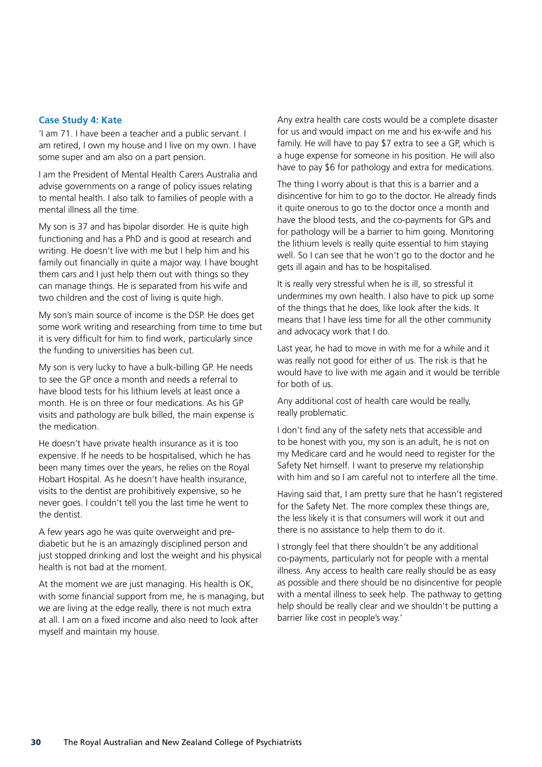### <span id="page-31-0"></span>**Case Study 4: Kate**

'I am 71. I have been a teacher and a public servant. I am retired, I own my house and I live on my own. I have some super and am also on a part pension.

I am the President of Mental Health Carers Australia and advise governments on a range of policy issues relating to mental health. I also talk to families of people with a mental illness all the time.

My son is 37 and has bipolar disorder. He is quite high functioning and has a PhD and is good at research and writing. He doesn't live with me but I help him and his family out financially in quite a major way. I have bought them cars and I just help them out with things so they can manage things. He is separated from his wife and two children and the cost of living is quite high.

My son's main source of income is the DSP. He does get some work writing and researching from time to time but it is very difficult for him to find work, particularly since the funding to universities has been cut.

My son is very lucky to have a bulk-billing GP. He needs to see the GP once a month and needs a referral to have blood tests for his lithium levels at least once a month. He is on three or four medications. As his GP visits and pathology are bulk billed, the main expense is the medication.

He doesn't have private health insurance as it is too expensive. If he needs to be hospitalised, which he has been many times over the years, he relies on the Royal Hobart Hospital. As he doesn't have health insurance, visits to the dentist are prohibitively expensive, so he never goes. I couldn't tell you the last time he went to the dentist.

A few years ago he was quite overweight and prediabetic but he is an amazingly disciplined person and just stopped drinking and lost the weight and his physical health is not bad at the moment.

At the moment we are just managing. His health is OK, with some financial support from me, he is managing, but we are living at the edge really, there is not much extra at all. I am on a fixed income and also need to look after myself and maintain my house.

Any extra health care costs would be a complete disaster for us and would impact on me and his ex-wife and his family. He will have to pay \$7 extra to see a GP, which is a huge expense for someone in his position. He will also have to pay \$6 for pathology and extra for medications.

The thing I worry about is that this is a barrier and a disincentive for him to go to the doctor. He already finds it quite onerous to go to the doctor once a month and have the blood tests, and the co-payments for GPs and for pathology will be a barrier to him going. Monitoring the lithium levels is really quite essential to him staying well. So I can see that he won't go to the doctor and he gets ill again and has to be hospitalised.

It is really very stressful when he is ill, so stressful it undermines my own health. I also have to pick up some of the things that he does, like look after the kids. It means that I have less time for all the other community and advocacy work that I do.

Last year, he had to move in with me for a while and it was really not good for either of us. The risk is that he would have to live with me again and it would be terrible for both of us.

Any additional cost of health care would be really, really problematic.

I don't find any of the safety nets that accessible and to be honest with you, my son is an adult, he is not on my Medicare card and he would need to register for the Safety Net himself. I want to preserve my relationship with him and so I am careful not to interfere all the time.

Having said that, I am pretty sure that he hasn't registered for the Safety Net. The more complex these things are, the less likely it is that consumers will work it out and there is no assistance to help them to do it.

I strongly feel that there shouldn't be any additional co-payments, particularly not for people with a mental illness. Any access to health care really should be as easy as possible and there should be no disincentive for people with a mental illness to seek help. The pathway to getting help should be really clear and we shouldn't be putting a barrier like cost in people's way.'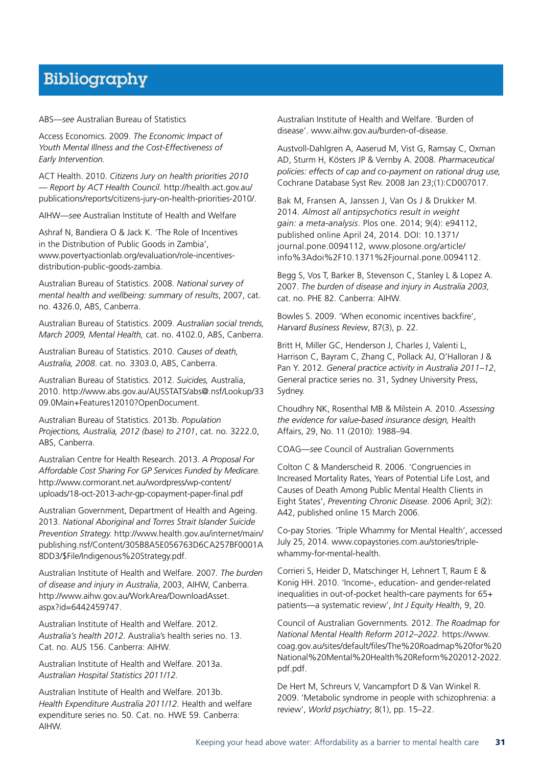# <span id="page-32-0"></span>Bibliography

ABS—*see* Australian Bureau of Statistics

Access Economics. 2009. *The Economic Impact of Youth Mental Illness and the Cost-Effectiveness of Early Intervention.*

ACT Health. 2010. *Citizens Jury on health priorities 2010 — Report by ACT Health Council.* http://health.act.gov.au/ publications/reports/citizens-jury-on-health-priorities-2010/.

AIHW—*see* Australian Institute of Health and Welfare

Ashraf N, Bandiera O & Jack K. 'The Role of Incentives in the Distribution of Public Goods in Zambia', www.povertyactionlab.org/evaluation/role-incentivesdistribution-public-goods-zambia.

Australian Bureau of Statistics. 2008. *National survey of mental health and wellbeing: summary of results*, 2007, cat. no. 4326.0, ABS, Canberra.

Australian Bureau of Statistics. 2009. *Australian social trends, March 2009, Mental Health,* cat. no. 4102.0, ABS, Canberra.

Australian Bureau of Statistics. 2010. *Causes of death, Australia, 2008*. cat. no. 3303.0, ABS, Canberra.

Australian Bureau of Statistics. 2012. *Suicides,* Australia, 2010. http://www.abs.gov.au/AUSSTATS/abs@.nsf/Lookup/33 09.0Main+Features12010?OpenDocument.

Australian Bureau of Statistics. 2013b. *Population Projections, Australia, 2012 (base) to 2101*, cat. no. 3222.0, ABS, Canberra.

Australian Centre for Health Research. 2013. *A Proposal For Affordable Cost Sharing For GP Services Funded by Medicare.*  http://www.cormorant.net.au/wordpress/wp-content/ uploads/18-oct-2013-achr-gp-copayment-paper-final.pdf

Australian Government, Department of Health and Ageing. 2013. *National Aboriginal and Torres Strait Islander Suicide Prevention Strategy.* http://www.health.gov.au/internet/main/ publishing.nsf/Content/305B8A5E056763D6CA257BF0001A 8DD3/\$File/Indigenous%20Strategy.pdf.

Australian Institute of Health and Welfare. 2007. *The burden of disease and injury in Australia*, 2003, AIHW, Canberra. http://www.aihw.gov.au/WorkArea/DownloadAsset. aspx?id=6442459747.

Australian Institute of Health and Welfare. 2012. *Australia's health 2012.* Australia's health series no. 13. Cat. no. AUS 156. Canberra: AIHW.

Australian Institute of Health and Welfare. 2013a. *Australian Hospital Statistics 2011/12.*

Australian Institute of Health and Welfare. 2013b. *Health Expenditure Australia 2011/12.* Health and welfare expenditure series no. 50. Cat. no. HWE 59. Canberra: AIHW.

Australian Institute of Health and Welfare. 'Burden of disease'. www.aihw.gov.au/burden-of-disease.

Austvoll-Dahlgren A, Aaserud M, Vist G, Ramsay C, Oxman AD, Sturm H, Kösters JP & Vernby A. 2008. *Pharmaceutical policies: effects of cap and co-payment on rational drug use,* Cochrane Database Syst Rev. 2008 Jan 23;(1):CD007017.

Bak M, Fransen A, Janssen J, Van Os J & Drukker M. 2014. *Almost all antipsychotics result in weight gain: a meta-analysis*. Plos one. 2014; 9(4): e94112, published online April 24, 2014. DOI: 10.1371/ journal.pone.0094112, www.plosone.org/article/ info%3Adoi%2F10.1371%2Fjournal.pone.0094112.

Begg S, Vos T, Barker B, Stevenson C, Stanley L & Lopez A. 2007. *The burden of disease and injury in Australia 2003,*  cat. no. PHE 82. Canberra: AIHW.

Bowles S. 2009. 'When economic incentives backfire', *Harvard Business Review*, 87(3), p. 22.

Britt H, Miller GC, Henderson J, Charles J, Valenti L, Harrison C, Bayram C, Zhang C, Pollack AJ, O'Halloran J & Pan Y. 2012. *General practice activity in Australia 2011–12*, General practice series no. 31, Sydney University Press, Sydney.

Choudhry NK, Rosenthal MB & Milstein A. 2010. *Assessing the evidence for value-based insurance design,* Health Affairs, 29, No. 11 (2010): 1988–94.

COAG—*see* Council of Australian Governments

Colton C & Manderscheid R. 2006. 'Congruencies in Increased Mortality Rates, Years of Potential Life Lost, and Causes of Death Among Public Mental Health Clients in Eight States', *Preventing Chronic Disease*. 2006 April; 3(2): A42, published online 15 March 2006.

Co-pay Stories. 'Triple Whammy for Mental Health', accessed July 25, 2014. www.copaystories.com.au/stories/triplewhammy-for-mental-health.

Corrieri S, Heider D, Matschinger H, Lehnert T, Raum E & Konig HH. 2010. 'Income-, education- and gender-related inequalities in out-of-pocket health-care payments for 65+ patients—a systematic review', *Int J Equity Health*, 9, 20.

Council of Australian Governments. 2012. *The Roadmap for National Mental Health Reform 2012–2022.* https://www. coag.gov.au/sites/default/files/The%20Roadmap%20for%20 National%20Mental%20Health%20Reform%202012-2022. pdf.pdf.

De Hert M, Schreurs V, Vancampfort D & Van Winkel R. 2009. 'Metabolic syndrome in people with schizophrenia: a review', *World psychiatry*; 8(1), pp. 15–22.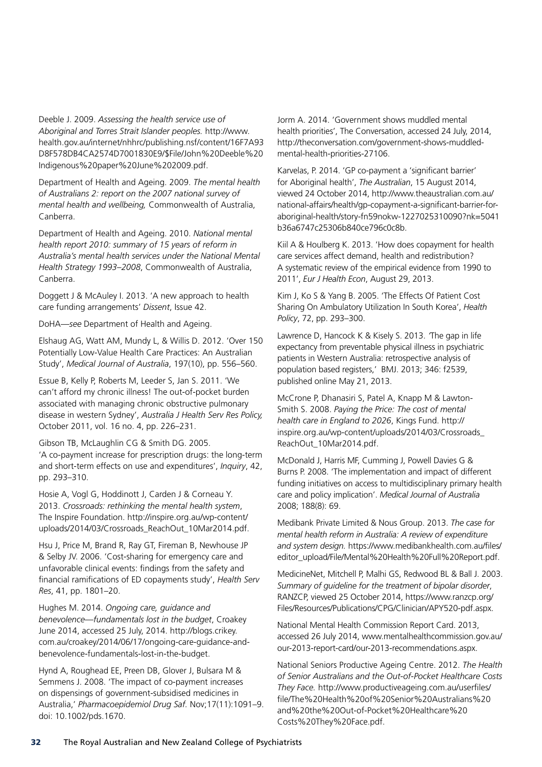Deeble J. 2009. *Assessing the health service use of Aboriginal and Torres Strait Islander peoples.* http://www. health.gov.au/internet/nhhrc/publishing.nsf/content/16F7A93 D8F578DB4CA2574D7001830E9/\$File/John%20Deeble%20 Indigenous%20paper%20June%202009.pdf.

Department of Health and Ageing. 2009. *The mental health of Australians 2: report on the 2007 national survey of mental health and wellbeing,* Commonwealth of Australia, Canberra.

Department of Health and Ageing. 2010. *National mental health report 2010: summary of 15 years of reform in Australia's mental health services under the National Mental Health Strategy 1993–2008*, Commonwealth of Australia, Canberra.

Doggett J & McAuley I. 2013. 'A new approach to health care funding arrangements' *Dissent*, Issue 42.

DoHA—*see* Department of Health and Ageing.

Elshaug AG, Watt AM, Mundy L, & Willis D. 2012. 'Over 150 Potentially Low-Value Health Care Practices: An Australian Study', *Medical Journal of Australia*, 197(10), pp. 556–560.

Essue B, Kelly P, Roberts M, Leeder S, Jan S. 2011. 'We can't afford my chronic illness! The out-of-pocket burden associated with managing chronic obstructive pulmonary disease in western Sydney', *Australia J Health Serv Res Policy,*  October 2011, vol. 16 no. 4, pp. 226–231.

Gibson TB, McLaughlin CG & Smith DG. 2005. 'A co-payment increase for prescription drugs: the long-term and short-term effects on use and expenditures', *Inquiry*, 42, pp. 293–310.

Hosie A, Vogl G, Hoddinott J, Carden J & Corneau Y. 2013. *Crossroads: rethinking the mental health system*, The Inspire Foundation. http://inspire.org.au/wp-content/ uploads/2014/03/Crossroads\_ReachOut\_10Mar2014.pdf.

Hsu J, Price M, Brand R, Ray GT, Fireman B, Newhouse JP & Selby JV. 2006. 'Cost-sharing for emergency care and unfavorable clinical events: findings from the safety and financial ramifications of ED copayments study', *Health Serv Res*, 41, pp. 1801–20.

Hughes M. 2014. *Ongoing care, guidance and benevolence—fundamentals lost in the budget*, Croakey June 2014, accessed 25 July, 2014. http://blogs.crikey. com.au/croakey/2014/06/17/ongoing-care-guidance-andbenevolence-fundamentals-lost-in-the-budget.

Hynd A, Roughead EE, Preen DB, Glover J, Bulsara M & Semmens J. 2008. 'The impact of co-payment increases on dispensings of government-subsidised medicines in Australia,' *Pharmacoepidemiol Drug Saf.* Nov;17(11):1091–9. doi: 10.1002/pds.1670.

Jorm A. 2014. 'Government shows muddled mental health priorities', The Conversation, accessed 24 July, 2014, http://theconversation.com/government-shows-muddledmental-health-priorities-27106.

Karvelas, P. 2014. 'GP co-payment a 'significant barrier' for Aboriginal health', *The Australian*, 15 August 2014, viewed 24 October 2014, http://www.theaustralian.com.au/ national-affairs/health/gp-copayment-a-significant-barrier-foraboriginal-health/story-fn59nokw-1227025310090?nk=5041 b36a6747c25306b840ce796c0c8b.

Kiil A & Houlberg K. 2013. 'How does copayment for health care services affect demand, health and redistribution? A systematic review of the empirical evidence from 1990 to 2011', *Eur J Health Econ*, August 29, 2013.

Kim J, Ko S & Yang B. 2005. 'The Effects Of Patient Cost Sharing On Ambulatory Utilization In South Korea', *Health Policy*, 72, pp. 293–300.

Lawrence D, Hancock K & Kisely S. 2013. *'*The gap in life expectancy from preventable physical illness in psychiatric patients in Western Australia: retrospective analysis of population based registers,' BMJ. 2013; 346: f2539, published online May 21, 2013.

McCrone P, Dhanasiri S, Patel A, Knapp M & Lawton-Smith S. 2008. *Paying the Price: The cost of mental health care in England to 2026*, Kings Fund. http:// inspire.org.au/wp-content/uploads/2014/03/Crossroads\_ ReachOut\_10Mar2014.pdf.

McDonald J, Harris MF, Cumming J, Powell Davies G & Burns P. 2008. 'The implementation and impact of different funding initiatives on access to multidisciplinary primary health care and policy implication'. *Medical Journal of Australia* 2008; 188(8): 69.

Medibank Private Limited & Nous Group. 2013. *The case for mental health reform in Australia: A review of expenditure and system design.* https://www.medibankhealth.com.au/files/ editor\_upload/File/Mental%20Health%20Full%20Report.pdf.

MedicineNet, Mitchell P, Malhi GS, Redwood BL & Ball J. 2003. *Summary of guideline for the treatment of bipolar disorder*, RANZCP, viewed 25 October 2014, https://www.ranzcp.org/ Files/Resources/Publications/CPG/Clinician/APY520-pdf.aspx.

National Mental Health Commission Report Card. 2013, accessed 26 July 2014, www.mentalhealthcommission.gov.au/ our-2013-report-card/our-2013-recommendations.aspx.

National Seniors Productive Ageing Centre. 2012. *The Health of Senior Australians and the Out-of-Pocket Healthcare Costs They Face.* http://www.productiveageing.com.au/userfiles/ file/The%20Health%20of%20Senior%20Australians%20 and%20the%20Out-of-Pocket%20Healthcare%20 Costs%20They%20Face.pdf.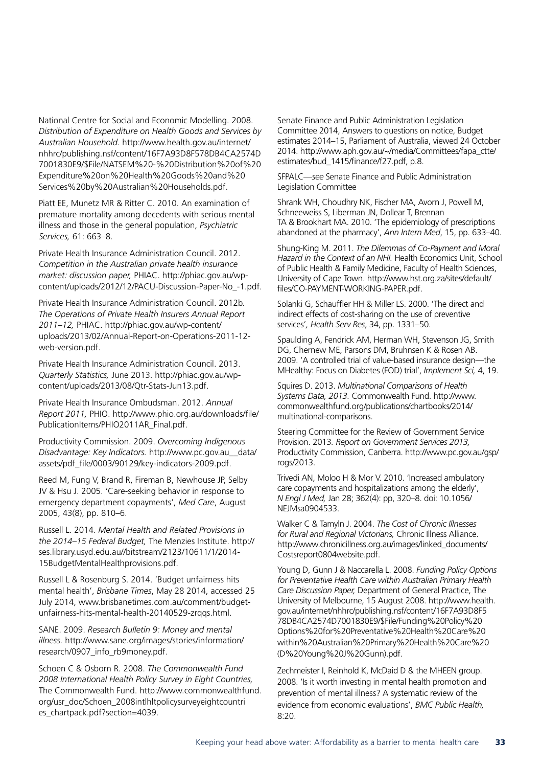National Centre for Social and Economic Modelling. 2008. *Distribution of Expenditure on Health Goods and Services by Australian Household.* http://www.health.gov.au/internet/ nhhrc/publishing.nsf/content/16F7A93D8F578DB4CA2574D 7001830E9/\$File/NATSEM%20-%20Distribution%20of%20 Expenditure%20on%20Health%20Goods%20and%20 Services%20by%20Australian%20Households.pdf.

Piatt EE, Munetz MR & Ritter C. 2010. An examination of premature mortality among decedents with serious mental illness and those in the general population, *Psychiatric Services,* 61: 663–8.

Private Health Insurance Administration Council. 2012. *Competition in the Australian private health insurance market: discussion paper,* PHIAC. http://phiac.gov.au/wpcontent/uploads/2012/12/PACU-Discussion-Paper-No\_-1.pdf.

Private Health Insurance Administration Council. 2012b*. The Operations of Private Health Insurers Annual Report 2011–12,* PHIAC. http://phiac.gov.au/wp-content/ uploads/2013/02/Annual-Report-on-Operations-2011-12 web-version.pdf.

Private Health Insurance Administration Council. 2013. *Quarterly Statistics,* June 2013. http://phiac.gov.au/wpcontent/uploads/2013/08/Qtr-Stats-Jun13.pdf.

Private Health Insurance Ombudsman. 2012. *Annual Report 2011,* PHIO. http://www.phio.org.au/downloads/file/ PublicationItems/PHIO2011AR\_Final.pdf.

Productivity Commission. 2009. *Overcoming Indigenous Disadvantage: Key Indicators.* http://www.pc.gov.au\_\_data/ assets/pdf\_file/0003/90129/key-indicators-2009.pdf.

Reed M, Fung V, Brand R, Fireman B, Newhouse JP, Selby JV & Hsu J. 2005. 'Care-seeking behavior in response to emergency department copayments', *Med Care*, August 2005, 43(8), pp. 810–6.

Russell L. 2014. *Mental Health and Related Provisions in the 2014–15 Federal Budget,* The Menzies Institute. http:// ses.library.usyd.edu.au//bitstream/2123/10611/1/2014- 15BudgetMentalHealthprovisions.pdf.

Russell L & Rosenburg S. 2014. 'Budget unfairness hits mental health', *Brisbane Times*, May 28 2014, accessed 25 July 2014, www.brisbanetimes.com.au/comment/budgetunfairness-hits-mental-health-20140529-zrqqs.html.

SANE. 2009. *Research Bulletin 9: Money and mental illness.* http://www.sane.org/images/stories/information/ research/0907\_info\_rb9money.pdf.

Schoen C & Osborn R. 2008. *The Commonwealth Fund 2008 International Health Policy Survey in Eight Countries,*  The Commonwealth Fund. http://www.commonwealthfund. org/usr\_doc/Schoen\_2008intlhltpolicysurveyeightcountri es\_chartpack.pdf?section=4039.

Senate Finance and Public Administration Legislation Committee 2014, Answers to questions on notice, Budget estimates 2014–15, Parliament of Australia, viewed 24 October 2014. http://www.aph.gov.au/~/media/Committees/fapa\_ctte/ estimates/bud\_1415/finance/f27.pdf, p.8.

SFPALC—*see* Senate Finance and Public Administration Legislation Committee

Shrank WH, Choudhry NK, Fischer MA, Avorn J, Powell M, Schneeweiss S, Liberman JN, Dollear T, Brennan TA & Brookhart MA. 2010. 'The epidemiology of prescriptions abandoned at the pharmacy', *Ann Intern Med*, 15, pp. 633–40.

Shung-King M. 2011. *The Dilemmas of Co-Payment and Moral Hazard in the Context of an NHI.* Health Economics Unit, School of Public Health & Family Medicine, Faculty of Health Sciences, University of Cape Town. http://www.hst.org.za/sites/default/ files/CO-PAYMENT-WORKING-PAPER.pdf.

Solanki G, Schauffler HH & Miller LS. 2000. 'The direct and indirect effects of cost-sharing on the use of preventive services'*, Health Serv Res*, 34, pp. 1331–50.

Spaulding A, Fendrick AM, Herman WH, Stevenson JG, Smith DG, Chernew ME, Parsons DM, Bruhnsen K & Rosen AB. 2009. 'A controlled trial of value-based insurance design—the MHealthy: Focus on Diabetes (FOD) trial', *Implement Sci,* 4, 19.

Squires D. 2013. *Multinational Comparisons of Health Systems Data, 2013.* Commonwealth Fund. http://www. commonwealthfund.org/publications/chartbooks/2014/ multinational-comparisons.

Steering Committee for the Review of Government Service Provision. 2013*. Report on Government Services 2013,*  Productivity Commission, Canberra. http://www.pc.gov.au/gsp/ rogs/2013.

Trivedi AN, Moloo H & Mor V. 2010. 'Increased ambulatory care copayments and hospitalizations among the elderly', *N Engl J Med,* Jan 28; 362(4): pp, 320–8. doi: 10.1056/ NEJMsa0904533.

Walker C & Tamyln J. 2004. *The Cost of Chronic Illnesses for Rural and Regional Victorians,* Chronic Illness Alliance. http://www.chronicillness.org.au/images/linked\_documents/ Costsreport0804website.pdf.

Young D, Gunn J & Naccarella L. 2008. *Funding Policy Options for Preventative Health Care within Australian Primary Health Care Discussion Paper,* Department of General Practice, The University of Melbourne, 15 August 2008. http://www.health. gov.au/internet/nhhrc/publishing.nsf/content/16F7A93D8F5 78DB4CA2574D7001830E9/\$File/Funding%20Policy%20 Options%20for%20Preventative%20Health%20Care%20 within%20Australian%20Primary%20Health%20Care%20 (D%20Young%20J%20Gunn).pdf.

Zechmeister I, Reinhold K, McDaid D & the MHEEN group. 2008. 'Is it worth investing in mental health promotion and prevention of mental illness? A systematic review of the evidence from economic evaluations', *BMC Public Health,*  8:20.